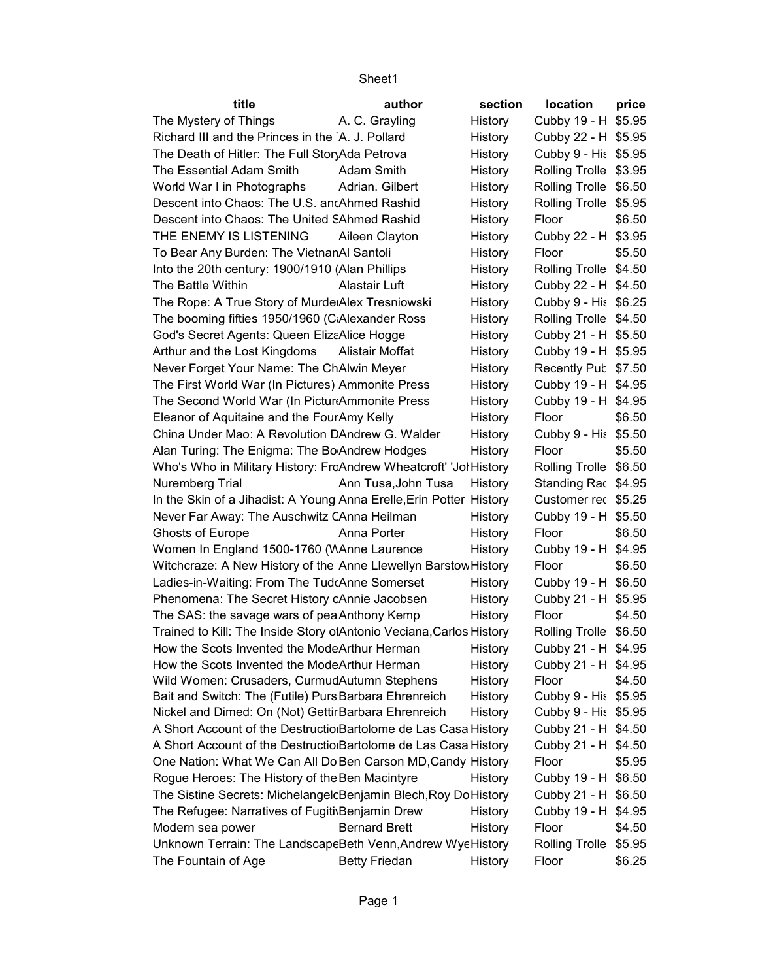| title                                                               | author               | section | location              | price  |
|---------------------------------------------------------------------|----------------------|---------|-----------------------|--------|
| The Mystery of Things                                               | A. C. Grayling       | History | Cubby 19 - H \$5.95   |        |
| Richard III and the Princes in the A. J. Pollard                    |                      | History | Cubby 22 - H \$5.95   |        |
| The Death of Hitler: The Full StoryAda Petrova                      |                      | History | Cubby 9 - His \$5.95  |        |
| The Essential Adam Smith                                            | Adam Smith           | History | Rolling Trolle \$3.95 |        |
| World War I in Photographs                                          | Adrian. Gilbert      | History | Rolling Trolle \$6.50 |        |
| Descent into Chaos: The U.S. ancAhmed Rashid                        |                      | History | Rolling Trolle \$5.95 |        |
| Descent into Chaos: The United SAhmed Rashid                        |                      | History | Floor                 | \$6.50 |
| THE ENEMY IS LISTENING                                              | Aileen Clayton       | History | Cubby 22 - H \$3.95   |        |
| To Bear Any Burden: The VietnanAl Santoli                           |                      | History | Floor                 | \$5.50 |
| Into the 20th century: 1900/1910 (Alan Phillips                     |                      | History | Rolling Trolle \$4.50 |        |
| The Battle Within                                                   | Alastair Luft        | History | Cubby 22 - H \$4.50   |        |
| The Rope: A True Story of Murde Alex Tresniowski                    |                      | History | Cubby 9 - His \$6.25  |        |
| The booming fifties 1950/1960 (C Alexander Ross                     |                      | History | Rolling Trolle \$4.50 |        |
| God's Secret Agents: Queen ElizaAlice Hogge                         |                      | History | Cubby 21 - H \$5.50   |        |
| Arthur and the Lost Kingdoms                                        | Alistair Moffat      | History | Cubby 19 - H \$5.95   |        |
| Never Forget Your Name: The ChAlwin Meyer                           |                      | History | Recently Pub \$7.50   |        |
| The First World War (In Pictures) Ammonite Press                    |                      | History | Cubby 19 - H \$4.95   |        |
| The Second World War (In Pictur Ammonite Press                      |                      | History | Cubby 19 - H \$4.95   |        |
| Eleanor of Aquitaine and the FourAmy Kelly                          |                      | History | Floor                 | \$6.50 |
| China Under Mao: A Revolution DAndrew G. Walder                     |                      | History | Cubby 9 - His \$5.50  |        |
| Alan Turing: The Enigma: The Bo Andrew Hodges                       |                      | History | Floor                 | \$5.50 |
| Who's Who in Military History: FrcAndrew Wheatcroft' 'Jol History   |                      |         | Rolling Trolle \$6.50 |        |
| Nuremberg Trial                                                     | Ann Tusa, John Tusa  | History | Standing Rac \$4.95   |        |
| In the Skin of a Jihadist: A Young Anna Erelle, Erin Potter History |                      |         | Customer rec \$5.25   |        |
| Never Far Away: The Auschwitz CAnna Heilman                         |                      | History | Cubby 19 - H \$5.50   |        |
| <b>Ghosts of Europe</b>                                             | Anna Porter          | History | Floor                 | \$6.50 |
| Women In England 1500-1760 (WAnne Laurence                          |                      | History | Cubby 19 - H \$4.95   |        |
| Witchcraze: A New History of the Anne Llewellyn BarstowHistory      |                      |         | Floor                 | \$6.50 |
| Ladies-in-Waiting: From The Tud Anne Somerset                       |                      | History | Cubby 19 - H \$6.50   |        |
| Phenomena: The Secret History cAnnie Jacobsen                       |                      | History | Cubby 21 - H \$5.95   |        |
| The SAS: the savage wars of pea Anthony Kemp                        |                      | History | Floor                 | \$4.50 |
| Trained to Kill: The Inside Story o Antonio Veciana, Carlos History |                      |         | Rolling Trolle \$6.50 |        |
| How the Scots Invented the ModeArthur Herman                        |                      | History | Cubby 21 - H \$4.95   |        |
| How the Scots Invented the ModeArthur Herman                        |                      | History | Cubby 21 - H \$4.95   |        |
| Wild Women: Crusaders, CurmudAutumn Stephens                        |                      | History | Floor                 | \$4.50 |
| Bait and Switch: The (Futile) Purs Barbara Ehrenreich               |                      | History | Cubby 9 - His \$5.95  |        |
| Nickel and Dimed: On (Not) Gettir Barbara Ehrenreich                |                      | History | Cubby 9 - His \$5.95  |        |
| A Short Account of the Destructio Bartolome de Las Casa History     |                      |         | Cubby 21 - H \$4.50   |        |
| A Short Account of the Destructio Bartolome de Las Casa History     |                      |         | Cubby 21 - H \$4.50   |        |
| One Nation: What We Can All Do Ben Carson MD, Candy History         |                      |         | Floor                 | \$5.95 |
| Rogue Heroes: The History of the Ben Macintyre                      |                      | History | Cubby 19 - H \$6.50   |        |
| The Sistine Secrets: MichelangelcBenjamin Blech, Roy Do History     |                      |         | Cubby 21 - H \$6.50   |        |
| The Refugee: Narratives of FugitivBenjamin Drew                     |                      | History | Cubby 19 - H \$4.95   |        |
| Modern sea power                                                    | <b>Bernard Brett</b> | History | Floor                 | \$4.50 |
| Unknown Terrain: The LandscapeBeth Venn, Andrew WyeHistory          |                      |         | Rolling Trolle \$5.95 |        |
| The Fountain of Age                                                 | <b>Betty Friedan</b> | History | Floor                 | \$6.25 |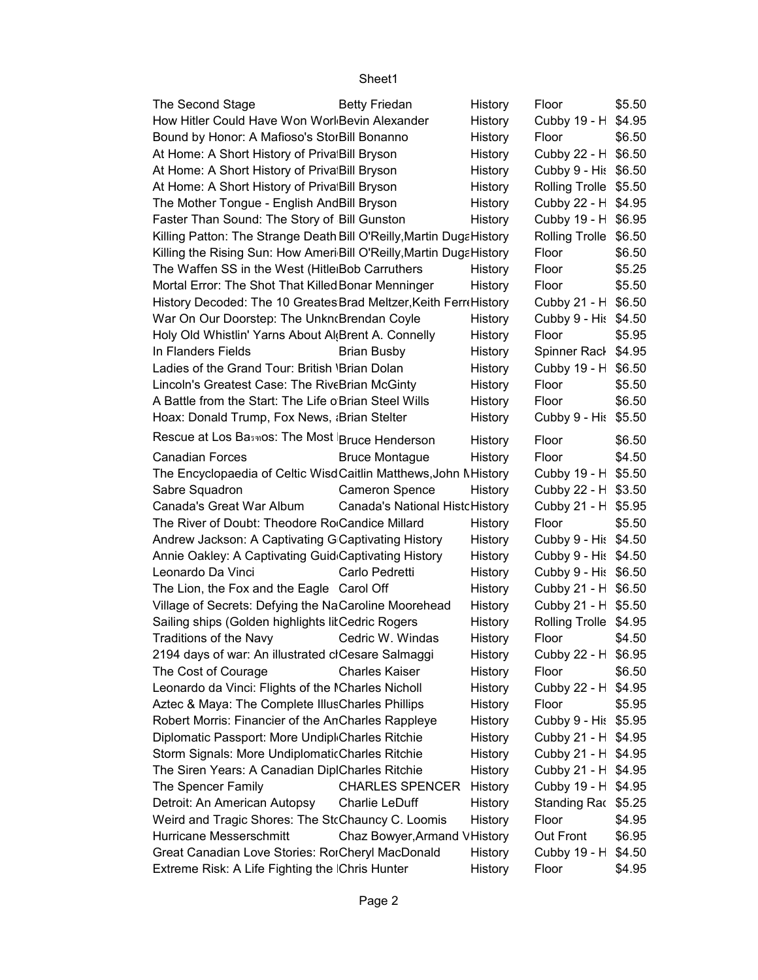| The Second Stage                                                     | <b>Betty Friedan</b>                  | History | Floor                 | \$5.50 |
|----------------------------------------------------------------------|---------------------------------------|---------|-----------------------|--------|
| How Hitler Could Have Won Worl Bevin Alexander                       |                                       | History | Cubby 19 - H \$4.95   |        |
| Bound by Honor: A Mafioso's StorBill Bonanno                         |                                       | History | Floor                 | \$6.50 |
| At Home: A Short History of Priva Bill Bryson                        |                                       | History | Cubby 22 - H \$6.50   |        |
| At Home: A Short History of Priva Bill Bryson                        |                                       | History | Cubby 9 - His \$6.50  |        |
| At Home: A Short History of Priva Bill Bryson                        |                                       | History | Rolling Trolle \$5.50 |        |
| The Mother Tongue - English AndBill Bryson                           |                                       | History | Cubby 22 - H \$4.95   |        |
| Faster Than Sound: The Story of Bill Gunston                         |                                       | History | Cubby 19 - H \$6.95   |        |
| Killing Patton: The Strange Death Bill O'Reilly, Martin DugaHistory  |                                       |         | Rolling Trolle \$6.50 |        |
| Killing the Rising Sun: How Ameri Bill O'Reilly, Martin Duga History |                                       |         | Floor                 | \$6.50 |
| The Waffen SS in the West (Hitle Bob Carruthers                      |                                       | History | Floor                 | \$5.25 |
| Mortal Error: The Shot That Killed Bonar Menninger                   |                                       | History | Floor                 | \$5.50 |
| History Decoded: The 10 Greates Brad Meltzer, Keith FerreHistory     |                                       |         | Cubby 21 - H \$6.50   |        |
| War On Our Doorstep: The Unkn Brendan Coyle                          |                                       | History | Cubby 9 - His \$4.50  |        |
| Holy Old Whistlin' Yarns About Al Brent A. Connelly                  |                                       | History | Floor                 | \$5.95 |
| In Flanders Fields                                                   | <b>Brian Busby</b>                    | History | Spinner Rack \$4.95   |        |
| Ladies of the Grand Tour: British 'Brian Dolan                       |                                       | History | Cubby 19 - H \$6.50   |        |
| Lincoln's Greatest Case: The RiveBrian McGinty                       |                                       | History | Floor                 | \$5.50 |
| A Battle from the Start: The Life o Brian Steel Wills                |                                       | History | Floor                 | \$6.50 |
| Hoax: Donald Trump, Fox News, aBrian Stelter                         |                                       | History | Cubby 9 - His \$5.50  |        |
| Rescue at Los Basmos: The Most Bruce Henderson                       |                                       |         | Floor                 | \$6.50 |
| <b>Canadian Forces</b>                                               |                                       | History | Floor                 | \$4.50 |
|                                                                      | <b>Bruce Montague</b>                 | History |                       |        |
| The Encyclopaedia of Celtic WisdCaitlin Matthews, John Mistory       |                                       |         | Cubby 19 - H \$5.50   |        |
| Sabre Squadron                                                       | <b>Cameron Spence</b>                 | History | Cubby 22 - H \$3.50   |        |
| Canada's Great War Album                                             | <b>Canada's National HistcHistory</b> |         | Cubby 21 - H \$5.95   |        |
| The River of Doubt: Theodore Ro Candice Millard                      |                                       | History | Floor                 | \$5.50 |
| Andrew Jackson: A Captivating G Captivating History                  |                                       | History | Cubby 9 - His \$4.50  |        |
| Annie Oakley: A Captivating Guid Captivating History                 |                                       | History | Cubby 9 - His \$4.50  |        |
| Leonardo Da Vinci                                                    | Carlo Pedretti                        | History | Cubby 9 - His \$6.50  |        |
| The Lion, the Fox and the Eagle Carol Off                            |                                       | History | Cubby 21 - H \$6.50   |        |
| Village of Secrets: Defying the NaCaroline Moorehead                 |                                       | History | Cubby 21 - H \$5.50   |        |
| Sailing ships (Golden highlights litCedric Rogers                    |                                       | History | Rolling Trolle \$4.95 |        |
| Traditions of the Navy                                               | Cedric W. Windas                      | History | Floor                 | \$4.50 |
| 2194 days of war: An illustrated clCesare Salmaggi                   |                                       | History | Cubby 22 - H \$6.95   |        |
| The Cost of Courage                                                  | <b>Charles Kaiser</b>                 | History | Floor                 | \$6.50 |
| Leonardo da Vinci: Flights of the ICharles Nicholl                   |                                       | History | Cubby 22 - H \$4.95   |        |
| Aztec & Maya: The Complete IllusCharles Phillips                     |                                       | History | Floor                 | \$5.95 |
| Robert Morris: Financier of the AnCharles Rappleye                   |                                       | History | Cubby 9 - His \$5.95  |        |
| Diplomatic Passport: More Undipl Charles Ritchie                     |                                       | History | Cubby 21 - H \$4.95   |        |
| Storm Signals: More UndiplomaticCharles Ritchie                      |                                       | History | Cubby 21 - H \$4.95   |        |
| The Siren Years: A Canadian DiplCharles Ritchie                      |                                       | History | Cubby 21 - H \$4.95   |        |
| The Spencer Family                                                   | <b>CHARLES SPENCER</b>                | History | Cubby 19 - H \$4.95   |        |
| Detroit: An American Autopsy                                         | Charlie LeDuff                        | History | Standing Rac \$5.25   |        |
| Weird and Tragic Shores: The StcChauncy C. Loomis                    |                                       | History | Floor                 | \$4.95 |
| Hurricane Messerschmitt                                              | Chaz Bowyer, Armand VHistory          |         | Out Front             | \$6.95 |
| Great Canadian Love Stories: RorCheryl MacDonald                     |                                       | History | Cubby 19 - H \$4.50   |        |
| Extreme Risk: A Life Fighting the Chris Hunter                       |                                       | History | Floor                 | \$4.95 |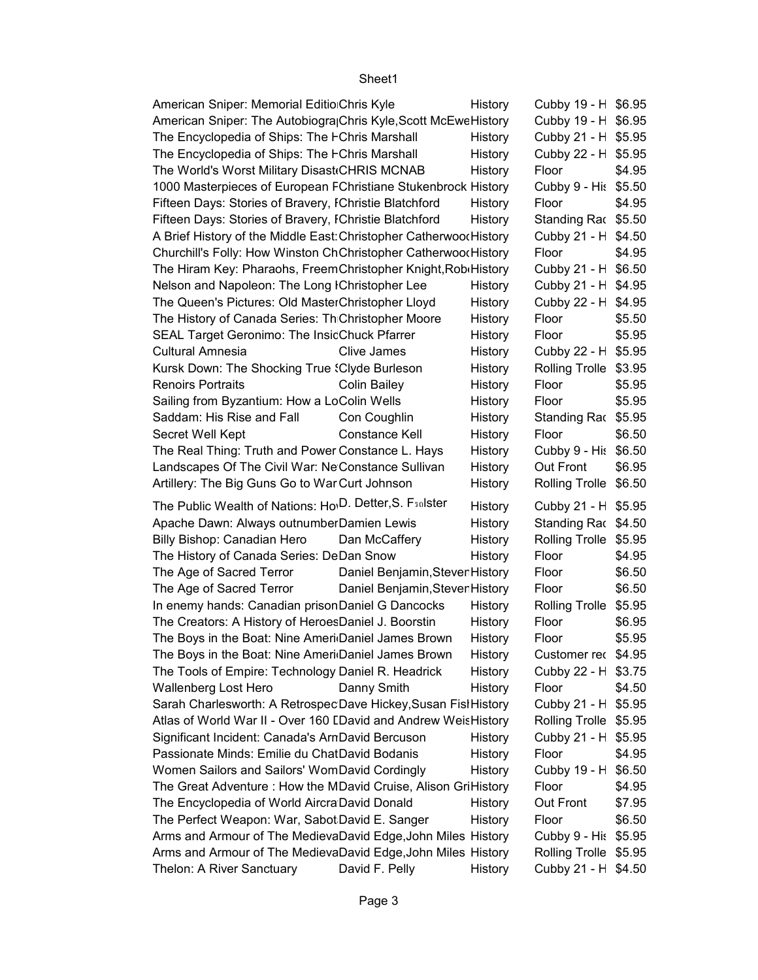| American Sniper: Memorial Editio Chris Kyle                                                       | History | Cubby 19 - H \$6.95          |                  |
|---------------------------------------------------------------------------------------------------|---------|------------------------------|------------------|
| American Sniper: The Autobiogra Chris Kyle, Scott McEweHistory                                    |         | Cubby 19 - H \$6.95          |                  |
| The Encyclopedia of Ships: The FChris Marshall                                                    | History | Cubby 21 - H \$5.95          |                  |
| The Encyclopedia of Ships: The FChris Marshall                                                    | History | Cubby 22 - H \$5.95          |                  |
| The World's Worst Military Disast CHRIS MCNAB                                                     | History | Floor                        | \$4.95           |
| 1000 Masterpieces of European FChristiane Stukenbrock History                                     |         | Cubby 9 - His \$5.50         |                  |
| Fifteen Days: Stories of Bravery, IChristie Blatchford                                            | History | Floor                        | \$4.95           |
| Fifteen Days: Stories of Bravery, IChristie Blatchford                                            | History | Standing Rac \$5.50          |                  |
| A Brief History of the Middle East: Christopher Catherwood History                                |         | Cubby 21 - H \$4.50          |                  |
| Churchill's Folly: How Winston ChChristopher Catherwood History                                   |         | Floor                        | \$4.95           |
| The Hiram Key: Pharaohs, FreemChristopher Knight, Robi History                                    |         | Cubby 21 - H \$6.50          |                  |
| Nelson and Napoleon: The Long IChristopher Lee                                                    | History | Cubby 21 - H \$4.95          |                  |
| The Queen's Pictures: Old MasterChristopher Lloyd                                                 | History | Cubby 22 - H \$4.95          |                  |
| The History of Canada Series: Th Christopher Moore                                                | History | Floor                        | \$5.50           |
| SEAL Target Geronimo: The InsicChuck Pfarrer                                                      | History | Floor                        | \$5.95           |
| <b>Cultural Amnesia</b><br>Clive James                                                            | History | Cubby 22 - H \$5.95          |                  |
| Kursk Down: The Shocking True {Clyde Burleson                                                     | History | Rolling Trolle \$3.95        |                  |
| <b>Renoirs Portraits</b><br><b>Colin Bailey</b>                                                   | History | Floor                        | \$5.95           |
| Sailing from Byzantium: How a LoColin Wells                                                       | History | Floor                        | \$5.95           |
| Saddam: His Rise and Fall<br>Con Coughlin                                                         | History | Standing Rac \$5.95          |                  |
| Secret Well Kept<br><b>Constance Kell</b>                                                         | History | Floor                        | \$6.50           |
| The Real Thing: Truth and Power Constance L. Hays                                                 | History | Cubby 9 - His \$6.50         |                  |
| Landscapes Of The Civil War: Ne Constance Sullivan                                                | History | Out Front                    | \$6.95           |
| Artillery: The Big Guns Go to War Curt Johnson                                                    | History | Rolling Trolle \$6.50        |                  |
| The Public Wealth of Nations: Ho <sup>, D.</sup> Detter, S. Fsalster                              | History | Cubby 21 - H \$5.95          |                  |
| Apache Dawn: Always outnumberDamien Lewis                                                         | History | Standing Rac \$4.50          |                  |
| Billy Bishop: Canadian Hero<br>Dan McCaffery                                                      | History | Rolling Trolle \$5.95        |                  |
| The History of Canada Series: DeDan Snow                                                          | History | Floor                        | \$4.95           |
| The Age of Sacred Terror<br>Daniel Benjamin, Steven History                                       |         | Floor                        | \$6.50           |
| The Age of Sacred Terror<br>Daniel Benjamin, Steven History                                       |         | Floor                        | \$6.50           |
| In enemy hands: Canadian prisonDaniel G Dancocks                                                  | History | Rolling Trolle \$5.95        |                  |
| The Creators: A History of HeroesDaniel J. Boorstin                                               | History | Floor                        | \$6.95           |
| The Boys in the Boat: Nine Ameri Daniel James Brown                                               |         |                              |                  |
|                                                                                                   |         |                              |                  |
|                                                                                                   | History | Floor                        | \$5.95           |
| The Boys in the Boat: Nine Ameri Daniel James Brown                                               | History | Customer rec \$4.95          |                  |
| The Tools of Empire: Technology Daniel R. Headrick                                                | History | Cubby 22 - H \$3.75          |                  |
| <b>Wallenberg Lost Hero</b><br>Danny Smith                                                        | History | Floor                        | \$4.50           |
| Sarah Charlesworth: A Retrospec Dave Hickey, Susan Fist History                                   |         | Cubby 21 - H \$5.95          |                  |
| Atlas of World War II - Over 160 [David and Andrew WeisHistory                                    |         | Rolling Trolle \$5.95        |                  |
| Significant Incident: Canada's ArnDavid Bercuson<br>Passionate Minds: Emilie du ChatDavid Bodanis | History | Cubby 21 - H \$5.95<br>Floor | \$4.95           |
|                                                                                                   | History |                              |                  |
| Women Sailors and Sailors' WomDavid Cordingly                                                     | History | Cubby 19 - H \$6.50<br>Floor |                  |
| The Great Adventure: How the MDavid Cruise, Alison GriHistory                                     | History | Out Front                    | \$4.95<br>\$7.95 |
| The Encyclopedia of World Aircra David Donald<br>The Perfect Weapon: War, Sabot David E. Sanger   | History | Floor                        | \$6.50           |
| Arms and Armour of The MedievaDavid Edge, John Miles History                                      |         | Cubby 9 - His \$5.95         |                  |
| Arms and Armour of The MedievaDavid Edge, John Miles History                                      |         | Rolling Trolle \$5.95        |                  |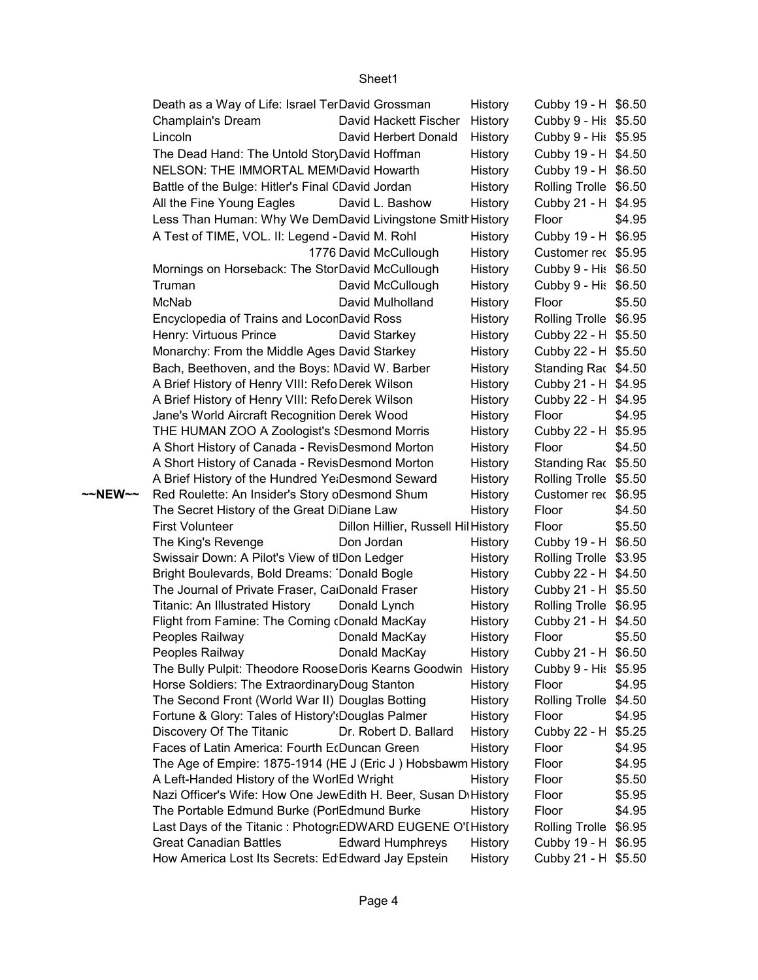|         | Death as a Way of Life: Israel TerDavid Grossman                                |                                     | History | Cubby 19 - H \$6.50                         |        |
|---------|---------------------------------------------------------------------------------|-------------------------------------|---------|---------------------------------------------|--------|
|         | Champlain's Dream                                                               | David Hackett Fischer               | History | Cubby 9 - His \$5.50                        |        |
|         | Lincoln                                                                         | David Herbert Donald                | History | Cubby 9 - His \$5.95                        |        |
|         | The Dead Hand: The Untold StoryDavid Hoffman                                    |                                     | History | Cubby 19 - H \$4.50                         |        |
|         | NELSON: THE IMMORTAL MEM David Howarth                                          |                                     | History | Cubby 19 - H \$6.50                         |        |
|         | Battle of the Bulge: Hitler's Final CDavid Jordan                               |                                     | History | Rolling Trolle \$6.50                       |        |
|         | All the Fine Young Eagles                                                       | David L. Bashow                     | History | Cubby 21 - H \$4.95                         |        |
|         | Less Than Human: Why We DemDavid Livingstone SmithHistory                       |                                     |         | Floor                                       | \$4.95 |
|         | A Test of TIME, VOL. II: Legend - David M. Rohl                                 |                                     | History | Cubby 19 - H \$6.95                         |        |
|         |                                                                                 | 1776 David McCullough               | History | Customer rec \$5.95                         |        |
|         | Mornings on Horseback: The StorDavid McCullough                                 |                                     | History | Cubby 9 - His \$6.50                        |        |
|         | Truman                                                                          | David McCullough                    | History | Cubby 9 - His \$6.50                        |        |
|         | McNab                                                                           | David Mulholland                    | History | Floor                                       | \$5.50 |
|         | Encyclopedia of Trains and LocorDavid Ross                                      |                                     | History | Rolling Trolle \$6.95                       |        |
|         | Henry: Virtuous Prince                                                          | David Starkey                       | History | Cubby 22 - H \$5.50                         |        |
|         | Monarchy: From the Middle Ages David Starkey                                    |                                     | History | Cubby 22 - H \$5.50                         |        |
|         | Bach, Beethoven, and the Boys: NDavid W. Barber                                 |                                     | History | Standing Rac \$4.50                         |        |
|         | A Brief History of Henry VIII: Refo Derek Wilson                                |                                     | History | Cubby 21 - H \$4.95                         |        |
|         | A Brief History of Henry VIII: Refo Derek Wilson                                |                                     | History | Cubby 22 - H \$4.95                         |        |
|         | Jane's World Aircraft Recognition Derek Wood                                    |                                     | History | Floor                                       | \$4.95 |
|         | THE HUMAN ZOO A Zoologist's (Desmond Morris                                     |                                     | History | Cubby 22 - H \$5.95                         |        |
|         | A Short History of Canada - RevisDesmond Morton                                 |                                     | History | Floor                                       | \$4.50 |
|         | A Short History of Canada - RevisDesmond Morton                                 |                                     | History | Standing Rac \$5.50                         |        |
|         | A Brief History of the Hundred Ye Desmond Seward                                |                                     | History | Rolling Trolle \$5.50                       |        |
| ~~NEW~~ | Red Roulette: An Insider's Story cDesmond Shum                                  |                                     | History | Customer rec \$6.95                         |        |
|         | The Secret History of the Great D Diane Law                                     |                                     | History | Floor                                       | \$4.50 |
|         | <b>First Volunteer</b>                                                          | Dillon Hillier, Russell Hil History |         | Floor                                       | \$5.50 |
|         | The King's Revenge                                                              | Don Jordan                          | History | Cubby 19 - H \$6.50                         |        |
|         | Swissair Down: A Pilot's View of tlDon Ledger                                   |                                     | History | Rolling Trolle \$3.95                       |        |
|         | Bright Boulevards, Bold Dreams: Donald Bogle                                    |                                     | History | Cubby 22 - H \$4.50                         |        |
|         | The Journal of Private Fraser, CalDonald Fraser                                 |                                     | History | Cubby 21 - H \$5.50                         |        |
|         | Titanic: An Illustrated History                                                 | Donald Lynch                        | History | Rolling Trolle \$6.95                       |        |
|         | Flight from Famine: The Coming (Donald MacKay                                   |                                     | History | Cubby 21 - H \$4.50                         |        |
|         | Peoples Railway                                                                 | Donald MacKay                       | History | Floor                                       | \$5.50 |
|         | Peoples Railway<br>The Bully Pulpit: Theodore RooseDoris Kearns Goodwin History | Donald MacKay                       | History | Cubby 21 - H \$6.50<br>Cubby 9 - His \$5.95 |        |
|         | Horse Soldiers: The Extraordinary Doug Stanton                                  |                                     | History | Floor                                       | \$4.95 |
|         | The Second Front (World War II) Douglas Botting                                 |                                     | History | Rolling Trolle \$4.50                       |        |
|         | Fortune & Glory: Tales of History': Douglas Palmer                              |                                     | History | Floor                                       | \$4.95 |
|         | Discovery Of The Titanic                                                        | Dr. Robert D. Ballard               | History | Cubby 22 - H \$5.25                         |        |
|         | Faces of Latin America: Fourth EcDuncan Green                                   |                                     | History | Floor                                       | \$4.95 |
|         | The Age of Empire: 1875-1914 (HE J (Eric J) Hobsbawm History                    |                                     |         | Floor                                       | \$4.95 |
|         | A Left-Handed History of the WorlEd Wright                                      |                                     | History | Floor                                       | \$5.50 |
|         | Nazi Officer's Wife: How One JewEdith H. Beer, Susan DiHistory                  |                                     |         | Floor                                       | \$5.95 |
|         | The Portable Edmund Burke (Por Edmund Burke                                     |                                     | History | Floor                                       | \$4.95 |
|         | Last Days of the Titanic: Photogr:EDWARD EUGENE O'I History                     |                                     |         | Rolling Trolle \$6.95                       |        |
|         | <b>Great Canadian Battles</b>                                                   | <b>Edward Humphreys</b>             | History | Cubby 19 - H \$6.95                         |        |
|         | How America Lost Its Secrets: Ed Edward Jay Epstein                             |                                     | History | Cubby 21 - H \$5.50                         |        |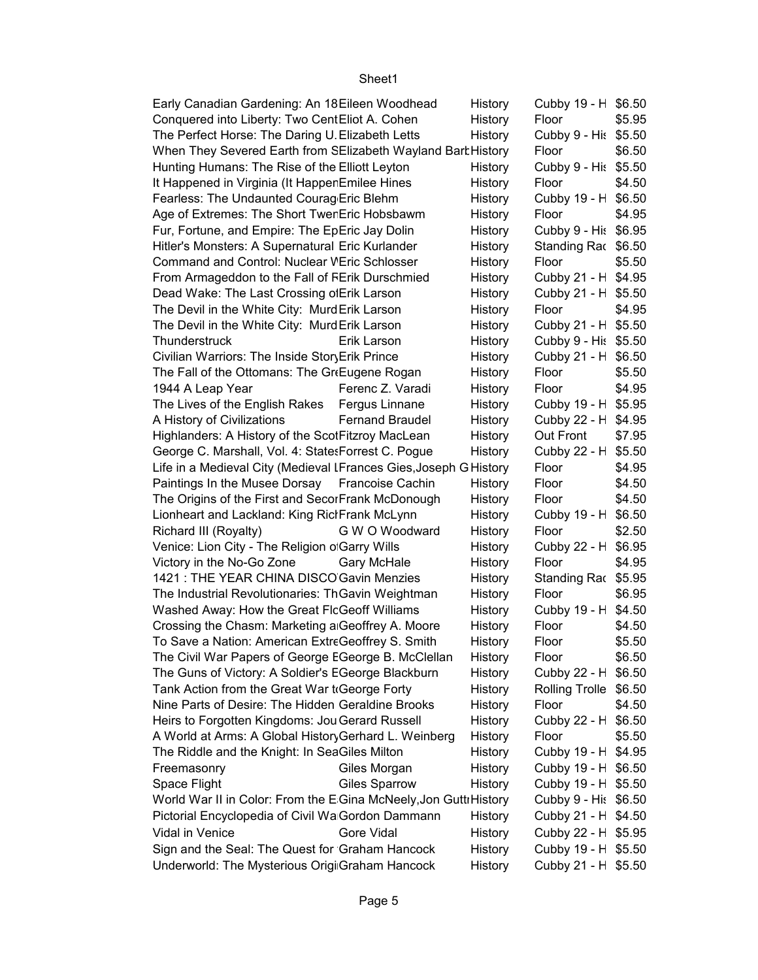| Early Canadian Gardening: An 18 Eileen Woodhead                   |                        | History | Cubby 19 - H \$6.50   |        |
|-------------------------------------------------------------------|------------------------|---------|-----------------------|--------|
| Conquered into Liberty: Two CentEliot A. Cohen                    |                        | History | Floor                 | \$5.95 |
| The Perfect Horse: The Daring U. Elizabeth Letts                  |                        | History | Cubby 9 - His \$5.50  |        |
| When They Severed Earth from SElizabeth Wayland Bart History      |                        |         | Floor                 | \$6.50 |
| Hunting Humans: The Rise of the Elliott Leyton                    |                        | History | Cubby 9 - His \$5.50  |        |
| It Happened in Virginia (It Happer Emilee Hines                   |                        | History | Floor                 | \$4.50 |
| Fearless: The Undaunted Courag Eric Blehm                         |                        | History | Cubby 19 - H \$6.50   |        |
| Age of Extremes: The Short Twer Eric Hobsbawm                     |                        | History | Floor                 | \$4.95 |
| Fur, Fortune, and Empire: The EpEric Jay Dolin                    |                        | History | Cubby 9 - His \$6.95  |        |
| Hitler's Monsters: A Supernatural Eric Kurlander                  |                        | History | Standing Rac \$6.50   |        |
| Command and Control: Nuclear VEric Schlosser                      |                        | History | Floor                 | \$5.50 |
| From Armageddon to the Fall of FErik Durschmied                   |                        | History | Cubby 21 - H \$4.95   |        |
| Dead Wake: The Last Crossing of Erik Larson                       |                        | History | Cubby 21 - H \$5.50   |        |
| The Devil in the White City: Murd Erik Larson                     |                        | History | Floor                 | \$4.95 |
| The Devil in the White City: Murd Erik Larson                     |                        | History | Cubby 21 - H \$5.50   |        |
| Thunderstruck                                                     | Erik Larson            | History | Cubby 9 - His \$5.50  |        |
| Civilian Warriors: The Inside StoryErik Prince                    |                        | History | Cubby 21 - H \$6.50   |        |
| The Fall of the Ottomans: The GreEugene Rogan                     |                        | History | Floor                 | \$5.50 |
| 1944 A Leap Year                                                  | Ferenc Z. Varadi       | History | Floor                 | \$4.95 |
| The Lives of the English Rakes Fergus Linnane                     |                        | History | Cubby 19 - H \$5.95   |        |
| A History of Civilizations                                        | <b>Fernand Braudel</b> | History | Cubby 22 - H \$4.95   |        |
| Highlanders: A History of the ScotFitzroy MacLean                 |                        | History | Out Front             | \$7.95 |
| George C. Marshall, Vol. 4: State: Forrest C. Pogue               |                        | History | Cubby 22 - H \$5.50   |        |
| Life in a Medieval City (Medieval IFrances Gies, Joseph G History |                        |         | Floor                 | \$4.95 |
| Paintings In the Musee Dorsay Francoise Cachin                    |                        | History | Floor                 | \$4.50 |
| The Origins of the First and SecorFrank McDonough                 |                        | History | Floor                 | \$4.50 |
| Lionheart and Lackland: King RictFrank McLynn                     |                        | History | Cubby 19 - H \$6.50   |        |
| Richard III (Royalty)                                             | G W O Woodward         | History | Floor                 | \$2.50 |
| Venice: Lion City - The Religion o Garry Wills                    |                        | History | Cubby 22 - H \$6.95   |        |
| Victory in the No-Go Zone                                         | <b>Gary McHale</b>     | History | Floor                 | \$4.95 |
| 1421 : THE YEAR CHINA DISCO Gavin Menzies                         |                        | History | Standing Rac \$5.95   |        |
| The Industrial Revolutionaries: ThGavin Weightman                 |                        | History | Floor                 | \$6.95 |
| Washed Away: How the Great FIcGeoff Williams                      |                        | History | Cubby 19 - H \$4.50   |        |
| Crossing the Chasm: Marketing a Geoffrey A. Moore                 |                        | History | Floor                 | \$4.50 |
| To Save a Nation: American ExtreGeoffrey S. Smith                 |                        | History | Floor                 | \$5.50 |
| The Civil War Papers of George EGeorge B. McClellan               |                        | History | Floor                 | \$6.50 |
| The Guns of Victory: A Soldier's EGeorge Blackburn                |                        | History | Cubby 22 - H          | \$6.50 |
| Tank Action from the Great War to George Forty                    |                        | History | Rolling Trolle \$6.50 |        |
| Nine Parts of Desire: The Hidden Geraldine Brooks                 |                        | History | Floor                 | \$4.50 |
| Heirs to Forgotten Kingdoms: Jou Gerard Russell                   |                        | History | Cubby 22 - H          | \$6.50 |
| A World at Arms: A Global History Gerhard L. Weinberg             |                        | History | Floor                 | \$5.50 |
| The Riddle and the Knight: In SeaGiles Milton                     |                        | History | Cubby 19 - H \$4.95   |        |
| Freemasonry                                                       | Giles Morgan           | History | Cubby 19 - H \$6.50   |        |
| Space Flight                                                      | <b>Giles Sparrow</b>   | History | Cubby 19 - H \$5.50   |        |
| World War II in Color: From the E Gina McNeely, Jon Gutti History |                        |         | Cubby 9 - His \$6.50  |        |
| Pictorial Encyclopedia of Civil Wa Gordon Dammann                 |                        | History | Cubby 21 - H \$4.50   |        |
| Vidal in Venice                                                   | Gore Vidal             |         | Cubby 22 - H \$5.95   |        |
|                                                                   |                        | History |                       |        |
| Sign and the Seal: The Quest for Graham Hancock                   |                        | History | Cubby 19 - H \$5.50   |        |
| Underworld: The Mysterious Origi Graham Hancock                   |                        | History | Cubby 21 - H \$5.50   |        |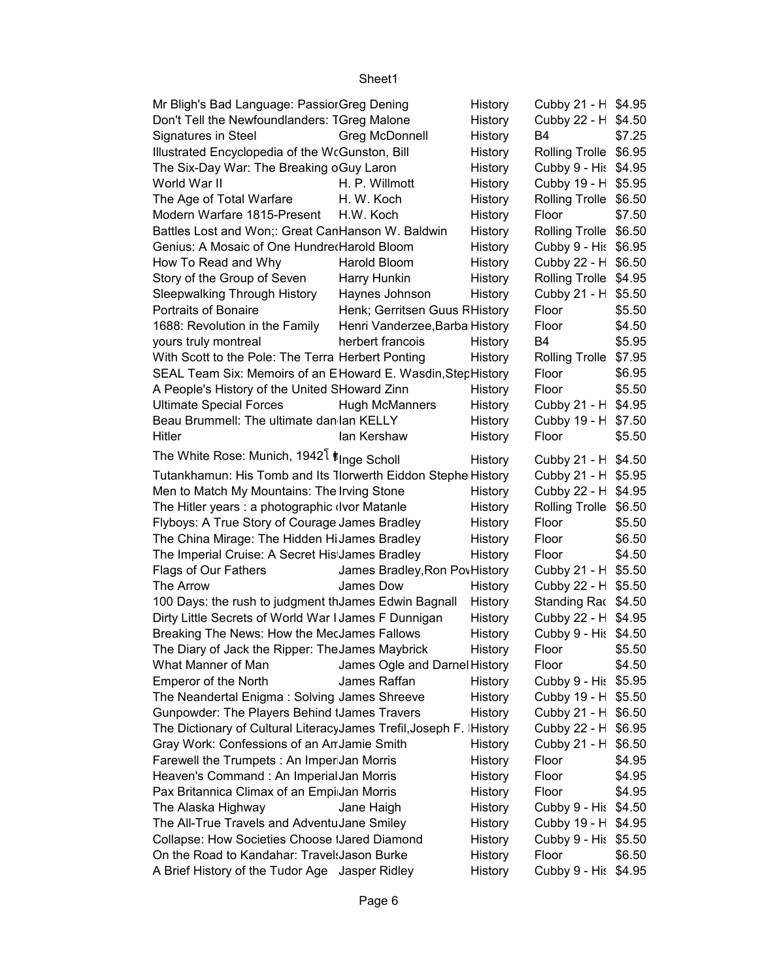| Mr Bligh's Bad Language: PassiorGreg Dening                                                                        |                                            | History            | Cubby 21 - H \$4.95                         |        |
|--------------------------------------------------------------------------------------------------------------------|--------------------------------------------|--------------------|---------------------------------------------|--------|
| Don't Tell the Newfoundlanders: TGreg Malone                                                                       |                                            | History            | Cubby 22 - H \$4.50                         |        |
| Signatures in Steel                                                                                                | Greg McDonnell                             | History            | B4                                          | \$7.25 |
| Illustrated Encyclopedia of the WcGunston, Bill                                                                    |                                            | History            | Rolling Trolle \$6.95                       |        |
| The Six-Day War: The Breaking oGuy Laron                                                                           |                                            | History            | Cubby 9 - His \$4.95                        |        |
| World War II                                                                                                       | H. P. Willmott                             | History            | Cubby 19 - H \$5.95                         |        |
| The Age of Total Warfare                                                                                           | H. W. Koch                                 | History            | Rolling Trolle \$6.50                       |        |
| Modern Warfare 1815-Present                                                                                        | H.W. Koch                                  | History            | Floor                                       | \$7.50 |
| Battles Lost and Won;: Great CanHanson W. Baldwin                                                                  |                                            | History            | Rolling Trolle \$6.50                       |        |
| Genius: A Mosaic of One Hundre Harold Bloom                                                                        |                                            | History            | Cubby 9 - His \$6.95                        |        |
| How To Read and Why                                                                                                | Harold Bloom                               | History            | Cubby 22 - H \$6.50                         |        |
| Story of the Group of Seven                                                                                        | Harry Hunkin                               | History            | Rolling Trolle \$4.95                       |        |
| Sleepwalking Through History                                                                                       | Haynes Johnson                             | History            | Cubby 21 - H \$5.50                         |        |
| Portraits of Bonaire                                                                                               | Henk; Gerritsen Guus RHistory              |                    | Floor                                       | \$5.50 |
| 1688: Revolution in the Family                                                                                     | Henri Vanderzee, Barba History             |                    | Floor                                       | \$4.50 |
| yours truly montreal                                                                                               | herbert francois                           | History            | B4                                          | \$5.95 |
| With Scott to the Pole: The Terra Herbert Ponting                                                                  |                                            | History            | Rolling Trolle \$7.95                       |        |
| SEAL Team Six: Memoirs of an EHoward E. Wasdin, StepHistory                                                        |                                            |                    | Floor                                       | \$6.95 |
| A People's History of the United SHoward Zinn                                                                      |                                            | History            | Floor                                       | \$5.50 |
| <b>Ultimate Special Forces</b>                                                                                     | <b>Hugh McManners</b>                      | History            | Cubby 21 - H \$4.95                         |        |
| Beau Brummell: The ultimate dan lan KELLY                                                                          |                                            | History            | Cubby 19 - H \$7.50                         |        |
| Hitler                                                                                                             | lan Kershaw                                | History            | Floor                                       | \$5.50 |
| The White Rose: Munich, 1942 <sup>1</sup> <i>Inge Scholl</i>                                                       |                                            | History            | Cubby 21 - H \$4.50                         |        |
| Tutankhamun: His Tomb and Its Tlorwerth Eiddon Stephe History                                                      |                                            |                    | Cubby 21 - H \$5.95                         |        |
| Men to Match My Mountains: The Irving Stone                                                                        |                                            | History            | Cubby 22 - H \$4.95                         |        |
| The Hitler years : a photographic (Ivor Matanle                                                                    |                                            | History            | Rolling Trolle \$6.50                       |        |
| Flyboys: A True Story of Courage James Bradley                                                                     |                                            | History            | Floor                                       | \$5.50 |
| The China Mirage: The Hidden HiJames Bradley                                                                       |                                            | History            | Floor                                       | \$6.50 |
| The Imperial Cruise: A Secret His James Bradley                                                                    |                                            | History            | Floor                                       | \$4.50 |
| Flags of Our Fathers                                                                                               |                                            |                    |                                             |        |
| The Arrow                                                                                                          | James Bradley, Ron PovHistory<br>James Dow | History            | Cubby 21 - H \$5.50                         |        |
|                                                                                                                    |                                            |                    | Cubby 22 - H \$5.50                         |        |
| 100 Days: the rush to judgment thJames Edwin Bagnall                                                               |                                            | History            | Standing Rac \$4.50                         |        |
| Dirty Little Secrets of World War I James F Dunnigan<br>Breaking The News: How the MecJames Fallows                |                                            | History            | Cubby 22 - H \$4.95<br>Cubby 9 - His \$4.50 |        |
|                                                                                                                    |                                            | History<br>History |                                             | \$5.50 |
| The Diary of Jack the Ripper: The James Maybrick<br>What Manner of Man                                             | James Ogle and Darnel History              |                    | Floor                                       | \$4.50 |
| <b>Emperor of the North</b>                                                                                        | James Raffan                               |                    | Floor                                       |        |
|                                                                                                                    |                                            | History            | Cubby 9 - His \$5.95                        |        |
| The Neandertal Enigma: Solving James Shreeve                                                                       |                                            | History            | Cubby 19 - H \$5.50                         |        |
| Gunpowder: The Players Behind IJames Travers                                                                       |                                            | History            | Cubby 21 - H \$6.50                         |        |
| The Dictionary of Cultural LiteracyJames Trefil, Joseph F. IHistory<br>Gray Work: Confessions of an An Jamie Smith |                                            |                    | Cubby 22 - H \$6.95<br>Cubby 21 - H \$6.50  |        |
|                                                                                                                    |                                            | History            |                                             |        |
| Farewell the Trumpets: An ImperJan Morris                                                                          |                                            | History            | Floor                                       | \$4.95 |
| Heaven's Command : An Imperial Jan Morris                                                                          |                                            | History            | Floor                                       | \$4.95 |
| Pax Britannica Climax of an Empi Jan Morris                                                                        |                                            | History            | Floor                                       | \$4.95 |
| The Alaska Highway                                                                                                 | Jane Haigh                                 | History            | Cubby 9 - His \$4.50                        |        |
| The All-True Travels and AdventuJane Smiley                                                                        |                                            | History            | Cubby 19 - H \$4.95                         |        |
| Collapse: How Societies Choose IJared Diamond                                                                      |                                            | History            | Cubby 9 - His \$5.50                        |        |
| On the Road to Kandahar: Travel: Jason Burke                                                                       |                                            | History            | Floor                                       | \$6.50 |
| A Brief History of the Tudor Age Jasper Ridley                                                                     |                                            | History            | Cubby 9 - His \$4.95                        |        |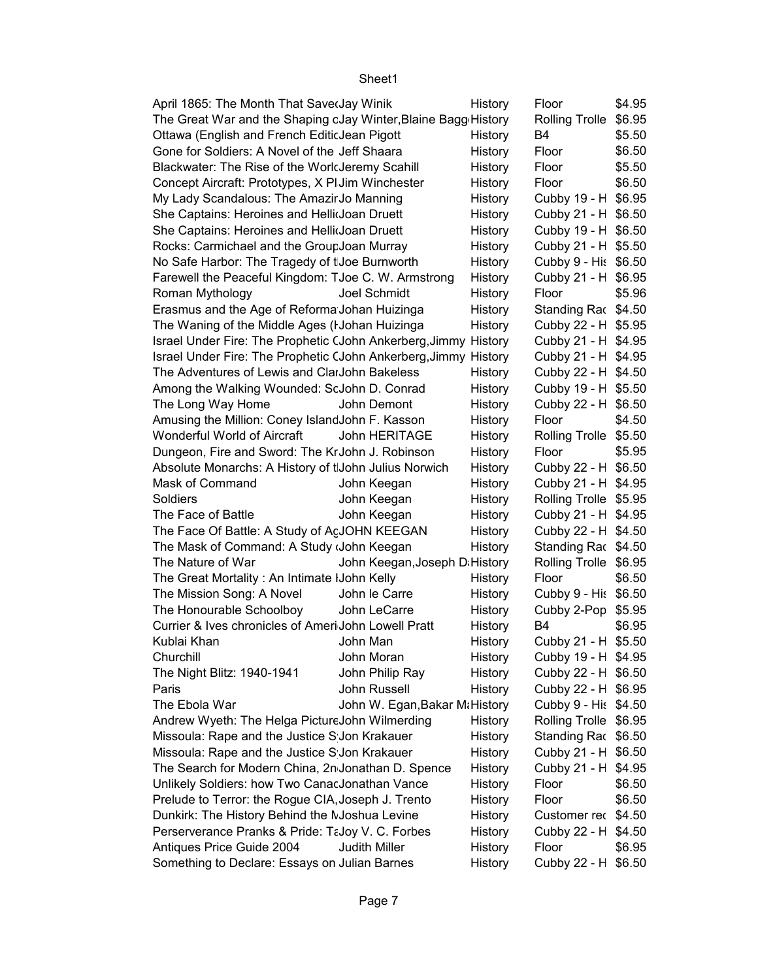| April 1865: The Month That SaverJay Winik                           |                               | History | Floor                                      | \$4.95 |
|---------------------------------------------------------------------|-------------------------------|---------|--------------------------------------------|--------|
| The Great War and the Shaping cJay Winter, Blaine Bagg History      |                               |         | Rolling Trolle                             | \$6.95 |
| Ottawa (English and French EditicJean Pigott                        |                               | History | B4                                         | \$5.50 |
| Gone for Soldiers: A Novel of the Jeff Shaara                       |                               | History | Floor                                      | \$6.50 |
| Blackwater: The Rise of the WorldJeremy Scahill                     |                               | History | Floor                                      | \$5.50 |
| Concept Aircraft: Prototypes, X PI Jim Winchester                   |                               | History | Floor                                      | \$6.50 |
| My Lady Scandalous: The AmazirJo Manning                            |                               | History | Cubby 19 - H \$6.95                        |        |
| She Captains: Heroines and Hellidoan Druett                         |                               | History | Cubby 21 - H \$6.50                        |        |
| She Captains: Heroines and Hellidoan Druett                         |                               | History | Cubby 19 - H \$6.50                        |        |
| Rocks: Carmichael and the GroupJoan Murray                          |                               | History | Cubby 21 - H \$5.50                        |        |
| No Safe Harbor: The Tragedy of t Joe Burnworth                      |                               | History | Cubby 9 - His \$6.50                       |        |
| Farewell the Peaceful Kingdom: TJoe C. W. Armstrong                 |                               | History | Cubby 21 - H \$6.95                        |        |
| Roman Mythology                                                     | Joel Schmidt                  | History | Floor                                      | \$5.96 |
| Erasmus and the Age of Reforma Johan Huizinga                       |                               | History | Standing Rac \$4.50                        |        |
| The Waning of the Middle Ages (I Johan Huizinga                     |                               | History | Cubby 22 - H \$5.95                        |        |
| Israel Under Fire: The Prophetic (John Ankerberg, Jimmy History     |                               |         | Cubby 21 - H \$4.95                        |        |
| Israel Under Fire: The Prophetic (John Ankerberg, Jimmy History     |                               |         | Cubby 21 - H \$4.95                        |        |
| The Adventures of Lewis and ClarJohn Bakeless                       |                               | History | Cubby 22 - H \$4.50                        |        |
| Among the Walking Wounded: ScJohn D. Conrad                         |                               | History | Cubby 19 - H \$5.50                        |        |
| The Long Way Home                                                   | John Demont                   | History | Cubby 22 - H \$6.50                        |        |
| Amusing the Million: Coney IslandJohn F. Kasson                     |                               | History | Floor                                      | \$4.50 |
| Wonderful World of Aircraft                                         | John HERITAGE                 | History | Rolling Trolle \$5.50                      |        |
| Dungeon, Fire and Sword: The KrJohn J. Robinson                     |                               | History | Floor                                      | \$5.95 |
| Absolute Monarchs: A History of tJohn Julius Norwich                |                               | History | Cubby 22 - H \$6.50                        |        |
| Mask of Command                                                     | John Keegan                   | History | Cubby 21 - H \$4.95                        |        |
| Soldiers                                                            | John Keegan                   | History | Rolling Trolle \$5.95                      |        |
| The Face of Battle                                                  | John Keegan                   | History | Cubby 21 - H \$4.95                        |        |
| The Face Of Battle: A Study of AcJOHN KEEGAN                        |                               | History | Cubby 22 - H \$4.50                        |        |
| The Mask of Command: A Study John Keegan                            |                               | History | Standing Rac \$4.50                        |        |
| The Nature of War                                                   | John Keegan, Joseph DiHistory |         | Rolling Trolle \$6.95                      |        |
|                                                                     |                               |         | Floor                                      | \$6.50 |
| The Great Mortality: An Intimate IJohn Kelly                        |                               | History |                                            |        |
| The Mission Song: A Novel                                           | John le Carre                 | History | Cubby 9 - His \$6.50                       |        |
| The Honourable Schoolboy                                            | John LeCarre                  | History | Cubby 2-Pop \$5.95                         |        |
| Currier & Ives chronicles of Ameri John Lowell Pratt<br>Kublai Khan |                               | History | B4                                         | \$6.95 |
| Churchill                                                           | John Man<br>John Moran        | History | Cubby 21 - H \$5.50                        |        |
|                                                                     |                               | History | Cubby 19 - H \$4.95<br>Cubby 22 - H \$6.50 |        |
| The Night Blitz: 1940-1941                                          | John Philip Ray               | History |                                            |        |
| Paris                                                               | John Russell                  | History | Cubby 22 - H \$6.95                        |        |
| The Ebola War                                                       | John W. Egan, Bakar M History |         | Cubby 9 - His \$4.50                       |        |
| Andrew Wyeth: The Helga Picture John Wilmerding                     |                               | History | Rolling Trolle \$6.95                      |        |
| Missoula: Rape and the Justice S Jon Krakauer                       |                               | History | Standing Rac \$6.50                        |        |
| Missoula: Rape and the Justice S Jon Krakauer                       |                               | History | Cubby 21 - H \$6.50                        |        |
| The Search for Modern China, 2n Jonathan D. Spence                  |                               | History | Cubby 21 - H \$4.95                        |        |
| Unlikely Soldiers: how Two CanacJonathan Vance                      |                               | History | Floor                                      | \$6.50 |
| Prelude to Terror: the Rogue CIA, Joseph J. Trento                  |                               | History | Floor                                      | \$6.50 |
| Dunkirk: The History Behind the MJoshua Levine                      |                               | History | Customer rec \$4.50                        |        |
| Perserverance Pranks & Pride: TaJoy V. C. Forbes                    |                               | History | Cubby 22 - H \$4.50                        |        |
| Antiques Price Guide 2004                                           | <b>Judith Miller</b>          | History | Floor                                      | \$6.95 |
| Something to Declare: Essays on Julian Barnes                       |                               | History | Cubby 22 - H \$6.50                        |        |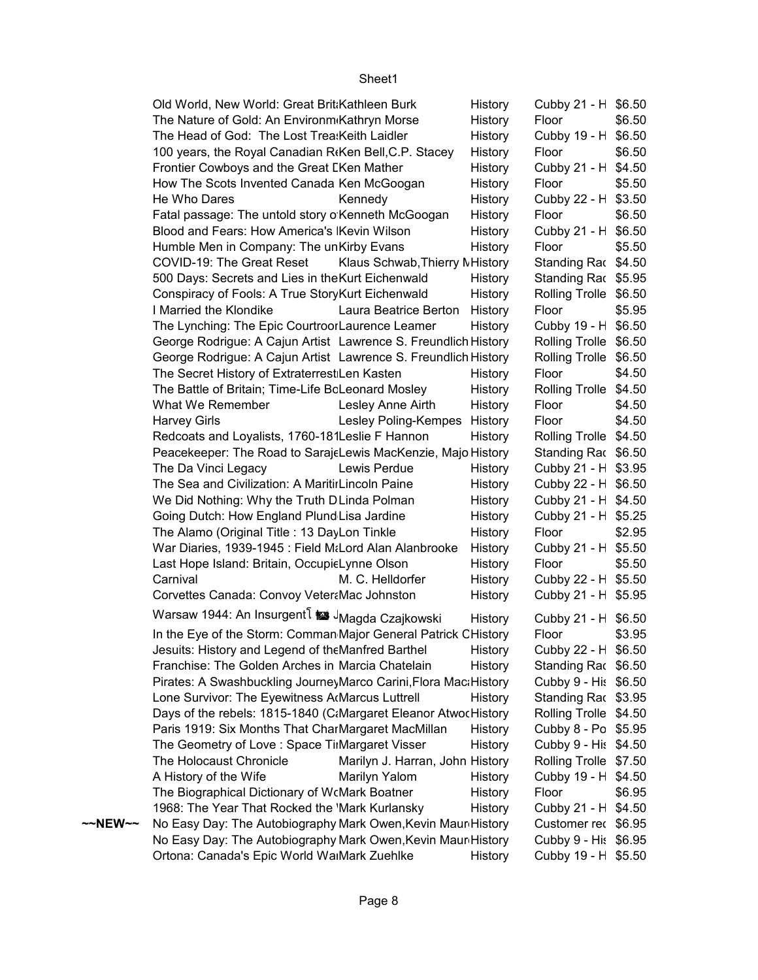|         | Old World, New World: Great Brit Kathleen Burk                          |                                 | <b>History</b> | Cubby 21 - H \$6.50   |        |
|---------|-------------------------------------------------------------------------|---------------------------------|----------------|-----------------------|--------|
|         | The Nature of Gold: An Environm Kathryn Morse                           |                                 | History        | Floor                 | \$6.50 |
|         | The Head of God: The Lost Trea: Keith Laidler                           |                                 | History        | Cubby 19 - H \$6.50   |        |
|         | 100 years, the Royal Canadian R <sub>f</sub> Ken Bell, C.P. Stacey      |                                 | History        | Floor                 | \$6.50 |
|         | Frontier Cowboys and the Great LKen Mather                              |                                 | History        | Cubby 21 - H \$4.50   |        |
|         | How The Scots Invented Canada Ken McGoogan                              |                                 | History        | Floor                 | \$5.50 |
|         | He Who Dares<br>Kennedy                                                 |                                 | History        | Cubby 22 - H \$3.50   |        |
|         | Fatal passage: The untold story o Kenneth McGoogan                      |                                 | History        | Floor                 | \$6.50 |
|         | Blood and Fears: How America's Kevin Wilson                             |                                 | History        | Cubby 21 - H \$6.50   |        |
|         | Humble Men in Company: The unKirby Evans                                |                                 | History        | Floor                 | \$5.50 |
|         | COVID-19: The Great Reset                                               | Klaus Schwab, Thierry MHistory  |                | Standing Rac \$4.50   |        |
|         | 500 Days: Secrets and Lies in the Kurt Eichenwald                       |                                 | History        | Standing Rac \$5.95   |        |
|         | Conspiracy of Fools: A True StoryKurt Eichenwald                        |                                 | History        | Rolling Trolle \$6.50 |        |
|         | I Married the Klondike                                                  | Laura Beatrice Berton           | History        | Floor                 | \$5.95 |
|         | The Lynching: The Epic CourtroorLaurence Leamer                         |                                 | History        | Cubby 19 - H \$6.50   |        |
|         | George Rodrigue: A Cajun Artist Lawrence S. Freundlich History          |                                 |                | Rolling Trolle \$6.50 |        |
|         | George Rodrigue: A Cajun Artist Lawrence S. Freundlich History          |                                 |                | Rolling Trolle \$6.50 |        |
|         | The Secret History of Extraterrest Len Kasten                           |                                 | History        | Floor                 | \$4.50 |
|         | The Battle of Britain; Time-Life BcLeonard Mosley                       |                                 | History        | Rolling Trolle \$4.50 |        |
|         | What We Remember                                                        | Lesley Anne Airth               | History        | Floor                 | \$4.50 |
|         | <b>Harvey Girls</b>                                                     | Lesley Poling-Kempes History    |                | Floor                 | \$4.50 |
|         | Redcoats and Loyalists, 1760-181 Leslie F Hannon                        |                                 | History        | Rolling Trolle \$4.50 |        |
|         | Peacekeeper: The Road to SarajeLewis MacKenzie, Majo History            |                                 |                | Standing Rac \$6.50   |        |
|         | The Da Vinci Legacy                                                     | Lewis Perdue                    | History        | Cubby 21 - H \$3.95   |        |
|         | The Sea and Civilization: A MaritirLincoln Paine                        |                                 | History        | Cubby 22 - H \$6.50   |        |
|         | We Did Nothing: Why the Truth DLinda Polman                             |                                 | History        | Cubby 21 - H \$4.50   |        |
|         | Going Dutch: How England Plund Lisa Jardine                             |                                 | History        | Cubby 21 - H \$5.25   |        |
|         | The Alamo (Original Title: 13 DayLon Tinkle                             |                                 | History        | Floor                 | \$2.95 |
|         | War Diaries, 1939-1945 : Field MtLord Alan Alanbrooke                   |                                 | History        | Cubby 21 - H \$5.50   |        |
|         | Last Hope Island: Britain, OccupicLynne Olson                           |                                 | History        | Floor                 | \$5.50 |
|         | Carnival                                                                | M. C. Helldorfer                | History        | Cubby 22 - H \$5.50   |        |
|         | Corvettes Canada: Convoy Veter Mac Johnston                             |                                 | History        | Cubby 21 - H \$5.95   |        |
|         | Warsaw 1944: An Insurgent <sup>[</sup> $\blacksquare$ JMagda Czajkowski |                                 | History        | Cubby 21 - H \$6.50   |        |
|         | In the Eye of the Storm: Comman Major General Patrick CHistory          |                                 |                | Floor                 | \$3.95 |
|         | Jesuits: History and Legend of the Manfred Barthel                      |                                 | History        | Cubby 22 - H \$6.50   |        |
|         | Franchise: The Golden Arches in Marcia Chatelain                        |                                 | <b>History</b> | Standing Rac \$6.50   |        |
|         | Pirates: A Swashbuckling JourneyMarco Carini, Flora MactHistory         |                                 |                | Cubby 9 - His \$6.50  |        |
|         | Lone Survivor: The Eyewitness A Marcus Luttrell                         |                                 | History        | Standing Rac \$3.95   |        |
|         | Days of the rebels: 1815-1840 (C:Margaret Eleanor AtwocHistory          |                                 |                | Rolling Trolle \$4.50 |        |
|         | Paris 1919: Six Months That CharMargaret MacMillan                      |                                 | History        | Cubby 8 - Po \$5.95   |        |
|         | The Geometry of Love: Space TimMargaret Visser                          |                                 | History        | Cubby 9 - His \$4.50  |        |
|         | The Holocaust Chronicle                                                 | Marilyn J. Harran, John History |                | Rolling Trolle \$7.50 |        |
|         | A History of the Wife                                                   | Marilyn Yalom                   | History        | Cubby 19 - H \$4.50   |        |
|         | The Biographical Dictionary of WcMark Boatner                           |                                 | History        | Floor                 | \$6.95 |
|         | 1968: The Year That Rocked the 'Mark Kurlansky                          |                                 | History        | Cubby 21 - H \$4.50   |        |
| ~~NEW~~ | No Easy Day: The Autobiography Mark Owen, Kevin Mauri History           |                                 |                | Customer rec \$6.95   |        |
|         | No Easy Day: The Autobiography Mark Owen, Kevin Mauri History           |                                 |                | Cubby 9 - His \$6.95  |        |
|         | Ortona: Canada's Epic World WalMark Zuehlke                             |                                 | History        | Cubby 19 - H \$5.50   |        |
|         |                                                                         |                                 |                |                       |        |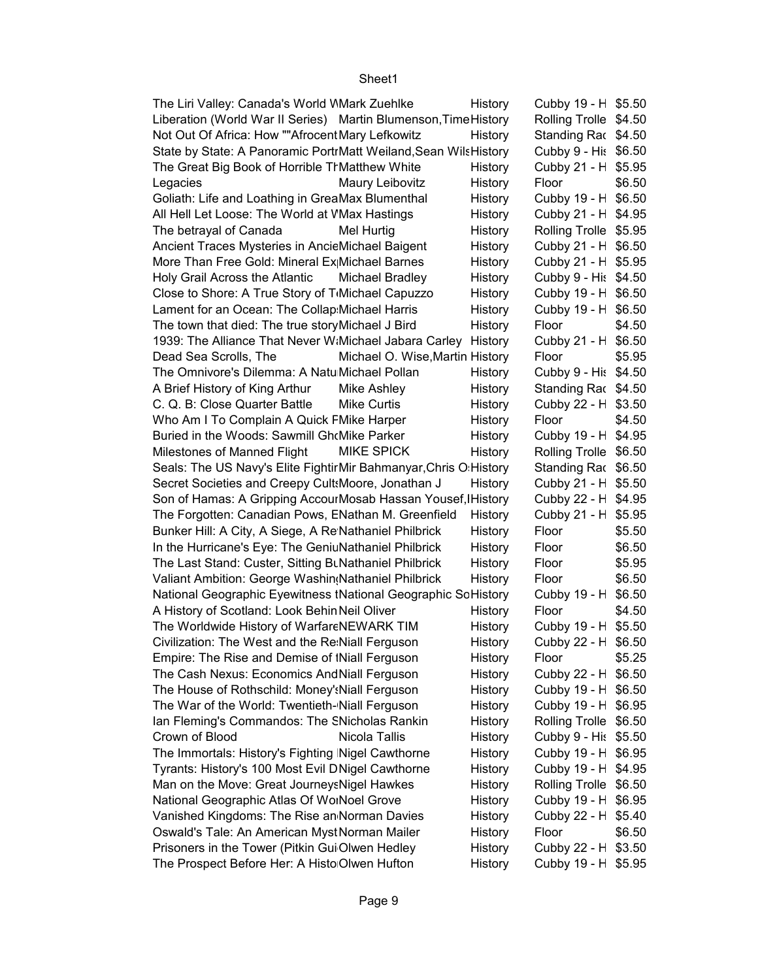| The Liri Valley: Canada's World WMark Zuehlke                     | History | Cubby 19 - H \$5.50   |        |
|-------------------------------------------------------------------|---------|-----------------------|--------|
| Liberation (World War II Series) Martin Blumenson, Time History   |         | Rolling Trolle \$4.50 |        |
| Not Out Of Africa: How ""Afrocent Mary Lefkowitz                  | History | Standing Rac \$4.50   |        |
| State by State: A Panoramic PortrMatt Weiland, Sean Wils History  |         | Cubby 9 - His \$6.50  |        |
| The Great Big Book of Horrible TrMatthew White                    | History | Cubby 21 - H \$5.95   |        |
| Legacies<br>Maury Leibovitz                                       | History | Floor                 | \$6.50 |
| Goliath: Life and Loathing in GreaMax Blumenthal                  | History | Cubby 19 - H \$6.50   |        |
| All Hell Let Loose: The World at VMax Hastings                    | History | Cubby 21 - H \$4.95   |        |
| The betrayal of Canada<br>Mel Hurtig                              | History | Rolling Trolle \$5.95 |        |
| Ancient Traces Mysteries in AncieMichael Baigent                  | History | Cubby 21 - H \$6.50   |        |
| More Than Free Gold: Mineral Ex Michael Barnes                    | History | Cubby 21 - H \$5.95   |        |
| Holy Grail Across the Atlantic<br>Michael Bradley                 | History | Cubby 9 - His \$4.50  |        |
| Close to Shore: A True Story of T <sub>I</sub> Michael Capuzzo    | History | Cubby 19 - H \$6.50   |        |
| Lament for an Ocean: The Collap Michael Harris                    | History | Cubby 19 - H \$6.50   |        |
| The town that died: The true story Michael J Bird                 | History | Floor                 | \$4.50 |
| 1939: The Alliance That Never W:Michael Jabara Carley History     |         | Cubby 21 - H \$6.50   |        |
| Dead Sea Scrolls, The<br>Michael O. Wise, Martin History          |         | Floor                 | \$5.95 |
| The Omnivore's Dilemma: A Natu Michael Pollan                     | History | Cubby 9 - His \$4.50  |        |
| A Brief History of King Arthur<br>Mike Ashley                     | History | Standing Rac \$4.50   |        |
| C. Q. B: Close Quarter Battle<br><b>Mike Curtis</b>               | History | Cubby 22 - H \$3.50   |        |
| Who Am I To Complain A Quick FMike Harper                         | History | Floor                 | \$4.50 |
| Buried in the Woods: Sawmill Gh(Mike Parker                       | History | Cubby 19 - H \$4.95   |        |
| Milestones of Manned Flight<br><b>MIKE SPICK</b>                  | History | Rolling Trolle \$6.50 |        |
| Seals: The US Navy's Elite Fightir Mir Bahmanyar, Chris O History |         | Standing Rac \$6.50   |        |
| Secret Societies and Creepy Cult: Moore, Jonathan J               | History | Cubby 21 - H \$5.50   |        |
| Son of Hamas: A Gripping AccourMosab Hassan Yousef, IHistory      |         | Cubby 22 - H \$4.95   |        |
| The Forgotten: Canadian Pows, ENathan M. Greenfield               | History | Cubby 21 - H \$5.95   |        |
| Bunker Hill: A City, A Siege, A Re Nathaniel Philbrick            | History | Floor                 | \$5.50 |
| In the Hurricane's Eye: The GeniuNathaniel Philbrick              | History | Floor                 | \$6.50 |
| The Last Stand: Custer, Sitting BrNathaniel Philbrick             | History | Floor                 | \$5.95 |
| Valiant Ambition: George Washin Nathaniel Philbrick               | History | Floor                 | \$6.50 |
| National Geographic Eyewitness tNational Geographic SoHistory     |         | Cubby 19 - H \$6.50   |        |
| A History of Scotland: Look Behin Neil Oliver                     | History | Floor                 | \$4.50 |
| The Worldwide History of WarfareNEWARK TIM                        | History | Cubby 19 - H \$5.50   |        |
| Civilization: The West and the Re Niall Ferguson                  | History | Cubby 22 - H \$6.50   |        |
| Empire: The Rise and Demise of INiall Ferguson                    | History | Floor                 | \$5.25 |
| The Cash Nexus: Economics And Niall Ferguson                      | History | Cubby 22 - H \$6.50   |        |
| The House of Rothschild: Money': Niall Ferguson                   | History | Cubby 19 - H \$6.50   |        |
| The War of the World: Twentieth-Niall Ferguson                    | History | Cubby 19 - H \$6.95   |        |
| Ian Fleming's Commandos: The SNicholas Rankin                     | History | Rolling Trolle \$6.50 |        |
| Crown of Blood<br>Nicola Tallis                                   | History | Cubby 9 - His \$5.50  |        |
| The Immortals: History's Fighting Nigel Cawthorne                 | History | Cubby 19 - H \$6.95   |        |
| Tyrants: History's 100 Most Evil DNigel Cawthorne                 | History | Cubby 19 - H \$4.95   |        |
| Man on the Move: Great Journeys Nigel Hawkes                      | History | Rolling Trolle \$6.50 |        |
| National Geographic Atlas Of WorNoel Grove                        | History | Cubby 19 - H \$6.95   |        |
| Vanished Kingdoms: The Rise an Norman Davies                      | History | Cubby 22 - H \$5.40   |        |
| Oswald's Tale: An American MystNorman Mailer                      | History | Floor                 | \$6.50 |
| Prisoners in the Tower (Pitkin Gui Olwen Hedley                   | History | Cubby 22 - H \$3.50   |        |
| The Prospect Before Her: A Histo Olwen Hufton                     | History | Cubby 19 - H \$5.95   |        |
|                                                                   |         |                       |        |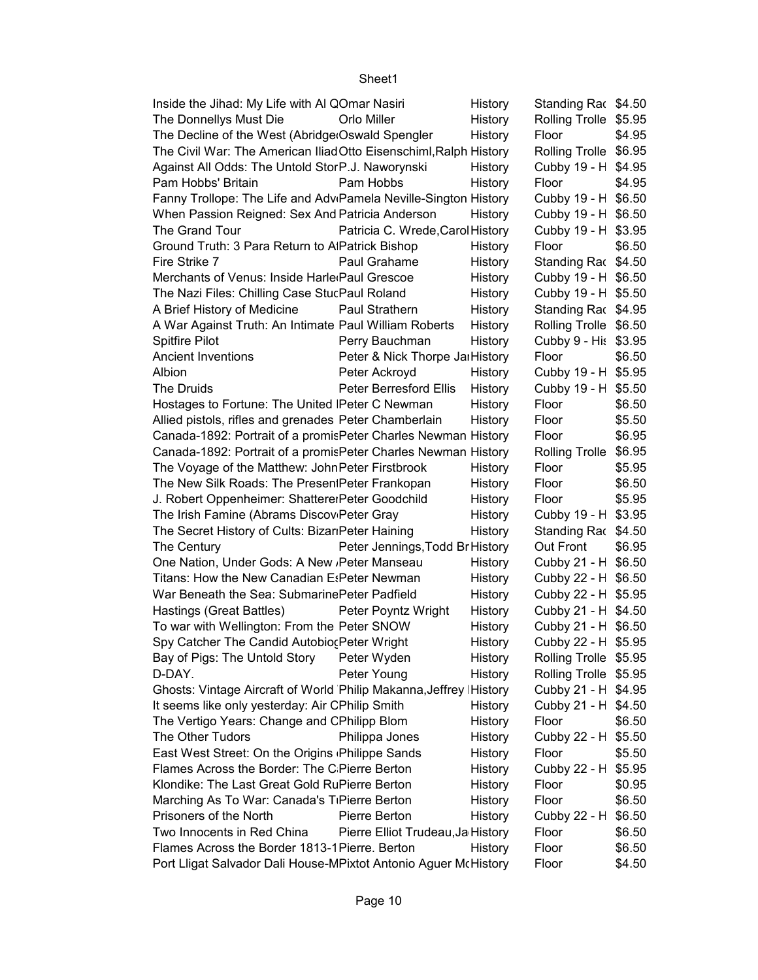| Inside the Jihad: My Life with Al QOmar Nasiri                               |                                   | History | Standing Rac \$4.50   |        |
|------------------------------------------------------------------------------|-----------------------------------|---------|-----------------------|--------|
| The Donnellys Must Die                                                       | Orlo Miller                       | History | Rolling Trolle \$5.95 |        |
| The Decline of the West (Abridge Oswald Spengler                             |                                   | History | Floor                 | \$4.95 |
| The Civil War: The American Iliad Otto Eisenschiml, Ralph History            |                                   |         | Rolling Trolle \$6.95 |        |
| Against All Odds: The Untold StorP.J. Naworynski                             |                                   | History | Cubby 19 - H \$4.95   |        |
| Pam Hobbs' Britain                                                           | Pam Hobbs                         | History | Floor                 | \$4.95 |
| Fanny Trollope: The Life and Adv <sub>'</sub> Pamela Neville-Sington History |                                   |         | Cubby 19 - H \$6.50   |        |
| When Passion Reigned: Sex And Patricia Anderson                              |                                   | History | Cubby 19 - H \$6.50   |        |
| The Grand Tour                                                               | Patricia C. Wrede, Carol History  |         | Cubby 19 - H \$3.95   |        |
| Ground Truth: 3 Para Return to AlPatrick Bishop                              |                                   | History | Floor                 | \$6.50 |
| Fire Strike 7                                                                | Paul Grahame                      | History | Standing Rac \$4.50   |        |
| Merchants of Venus: Inside Harle Paul Grescoe                                |                                   | History | Cubby 19 - H \$6.50   |        |
| The Nazi Files: Chilling Case StucPaul Roland                                |                                   | History | Cubby 19 - H \$5.50   |        |
| A Brief History of Medicine                                                  | Paul Strathern                    | History | Standing Rac \$4.95   |        |
| A War Against Truth: An Intimate Paul William Roberts                        |                                   | History | Rolling Trolle \$6.50 |        |
| Spitfire Pilot                                                               | Perry Bauchman                    | History | Cubby 9 - His \$3.95  |        |
| <b>Ancient Inventions</b>                                                    | Peter & Nick Thorpe JarHistory    |         | Floor                 | \$6.50 |
| Albion                                                                       | Peter Ackroyd                     | History | Cubby 19 - H \$5.95   |        |
| The Druids                                                                   | Peter Berresford Ellis            | History | Cubby 19 - H \$5.50   |        |
| Hostages to Fortune: The United IPeter C Newman                              |                                   | History | Floor                 | \$6.50 |
| Allied pistols, rifles and grenades Peter Chamberlain                        |                                   | History | Floor                 | \$5.50 |
| Canada-1892: Portrait of a promis Peter Charles Newman History               |                                   |         | Floor                 | \$6.95 |
| Canada-1892: Portrait of a promisPeter Charles Newman History                |                                   |         | Rolling Trolle \$6.95 |        |
| The Voyage of the Matthew: JohnPeter Firstbrook                              |                                   | History | Floor                 | \$5.95 |
| The New Silk Roads: The Presen Peter Frankopan                               |                                   | History | Floor                 | \$6.50 |
| J. Robert Oppenheimer: ShattereiPeter Goodchild                              |                                   | History | Floor                 | \$5.95 |
| The Irish Famine (Abrams Discov Peter Gray                                   |                                   | History | Cubby 19 - H \$3.95   |        |
| The Secret History of Cults: BizariPeter Haining                             |                                   | History | Standing Rac \$4.50   |        |
| The Century                                                                  | Peter Jennings, Todd Br History   |         | Out Front             | \$6.95 |
| One Nation, Under Gods: A New , Peter Manseau                                |                                   | History | Cubby 21 - H \$6.50   |        |
| Titans: How the New Canadian EsPeter Newman                                  |                                   | History | Cubby 22 - H \$6.50   |        |
| War Beneath the Sea: SubmarinePeter Padfield                                 |                                   | History | Cubby 22 - H \$5.95   |        |
| Hastings (Great Battles)                                                     | Peter Poyntz Wright               | History | Cubby 21 - H \$4.50   |        |
| To war with Wellington: From the Peter SNOW                                  |                                   | History | Cubby 21 - H \$6.50   |        |
| Spy Catcher The Candid Autobioc Peter Wright                                 |                                   | History | Cubby 22 - H \$5.95   |        |
| Bay of Pigs: The Untold Story                                                | Peter Wyden                       | History | Rolling Trolle \$5.95 |        |
| D-DAY.                                                                       | Peter Young                       | History | Rolling Trolle \$5.95 |        |
| Ghosts: Vintage Aircraft of World Philip Makanna, Jeffrey IHistory           |                                   |         | Cubby 21 - H \$4.95   |        |
| It seems like only yesterday: Air CPhilip Smith                              |                                   | History | Cubby 21 - H \$4.50   |        |
| The Vertigo Years: Change and CPhilipp Blom                                  |                                   | History | Floor                 | \$6.50 |
| The Other Tudors                                                             | Philippa Jones                    | History | Cubby 22 - H \$5.50   |        |
| East West Street: On the Origins Philippe Sands                              |                                   | History | Floor                 | \$5.50 |
| Flames Across the Border: The C Pierre Berton                                |                                   | History | Cubby 22 - H \$5.95   |        |
| Klondike: The Last Great Gold RuPierre Berton                                |                                   | History | Floor                 | \$0.95 |
| Marching As To War: Canada's TiPierre Berton                                 |                                   | History | Floor                 | \$6.50 |
| Prisoners of the North                                                       | Pierre Berton                     | History | Cubby 22 - H \$6.50   |        |
| Two Innocents in Red China                                                   | Pierre Elliot Trudeau, Ja History |         | Floor                 | \$6.50 |
| Flames Across the Border 1813-1 Pierre. Berton                               |                                   | History | Floor                 | \$6.50 |
| Port Lligat Salvador Dali House-MPixtot Antonio Aguer McHistory              |                                   |         | Floor                 | \$4.50 |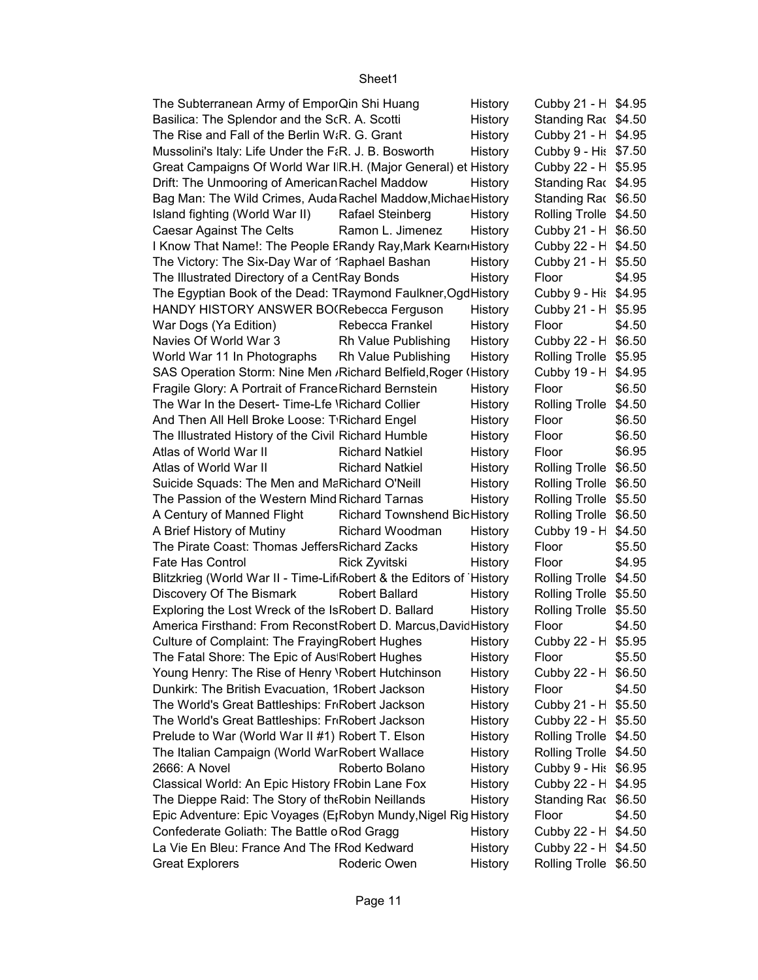| The Subterranean Army of EmporQin Shi Huang                                 |                                     | History | Cubby 21 - H \$4.95   |        |
|-----------------------------------------------------------------------------|-------------------------------------|---------|-----------------------|--------|
| Basilica: The Splendor and the ScR. A. Scotti                               |                                     | History | Standing Rac \$4.50   |        |
| The Rise and Fall of the Berlin W <sub>i</sub> R. G. Grant                  |                                     | History | Cubby 21 - H \$4.95   |        |
| Mussolini's Italy: Life Under the F&R. J. B. Bosworth                       |                                     | History | Cubby 9 - His \$7.50  |        |
| Great Campaigns Of World War I R.H. (Major General) et History              |                                     |         | Cubby 22 - H \$5.95   |        |
| Drift: The Unmooring of American Rachel Maddow                              |                                     | History | Standing Rac \$4.95   |        |
| Bag Man: The Wild Crimes, Auda Rachel Maddow, Michae History                |                                     |         | Standing Rac \$6.50   |        |
| Island fighting (World War II)                                              | <b>Rafael Steinberg</b>             | History | Rolling Trolle \$4.50 |        |
| Caesar Against The Celts                                                    | Ramon L. Jimenez                    | History | Cubby 21 - H \$6.50   |        |
| I Know That Name!: The People ERandy Ray, Mark Kearn History                |                                     |         | Cubby 22 - H \$4.50   |        |
| The Victory: The Six-Day War of 'Raphael Bashan                             |                                     | History | Cubby 21 - H \$5.50   |        |
| The Illustrated Directory of a CentRay Bonds                                |                                     | History | Floor                 | \$4.95 |
| The Egyptian Book of the Dead: TRaymond Faulkner, Ogd History               |                                     |         | Cubby 9 - His \$4.95  |        |
| HANDY HISTORY ANSWER BO(Rebecca Ferguson                                    |                                     | History | Cubby 21 - H \$5.95   |        |
| War Dogs (Ya Edition)                                                       | Rebecca Frankel                     | History | Floor                 | \$4.50 |
| Navies Of World War 3                                                       | Rh Value Publishing                 | History | Cubby 22 - H \$6.50   |        |
| World War 11 In Photographs                                                 | Rh Value Publishing                 | History | Rolling Trolle \$5.95 |        |
| SAS Operation Storm: Nine Men , Richard Belfield, Roger (History            |                                     |         | Cubby 19 - H \$4.95   |        |
| Fragile Glory: A Portrait of France Richard Bernstein                       |                                     | History | Floor                 | \$6.50 |
| The War In the Desert-Time-Lfe \Richard Collier                             |                                     | History | Rolling Trolle \$4.50 |        |
| And Then All Hell Broke Loose: T'Richard Engel                              |                                     | History | Floor                 | \$6.50 |
| The Illustrated History of the Civil Richard Humble                         |                                     | History | Floor                 | \$6.50 |
| Atlas of World War II                                                       | <b>Richard Natkiel</b>              | History | Floor                 | \$6.95 |
| Atlas of World War II                                                       | <b>Richard Natkiel</b>              | History | Rolling Trolle \$6.50 |        |
| Suicide Squads: The Men and MaRichard O'Neill                               |                                     | History | Rolling Trolle \$6.50 |        |
| The Passion of the Western Mind Richard Tarnas                              |                                     | History | Rolling Trolle \$5.50 |        |
| A Century of Manned Flight                                                  | <b>Richard Townshend BicHistory</b> |         | Rolling Trolle \$6.50 |        |
| A Brief History of Mutiny                                                   | Richard Woodman                     | History | Cubby 19 - H \$4.50   |        |
| The Pirate Coast: Thomas Jeffers Richard Zacks                              |                                     | History | Floor                 | \$5.50 |
| Fate Has Control                                                            | Rick Zyvitski                       | History | Floor                 | \$4.95 |
| Blitzkrieg (World War II - Time-Lif Robert & the Editors of History         |                                     |         | Rolling Trolle \$4.50 |        |
| Discovery Of The Bismark                                                    | <b>Robert Ballard</b>               | History | Rolling Trolle \$5.50 |        |
| Exploring the Lost Wreck of the IsRobert D. Ballard                         |                                     | History | Rolling Trolle \$5.50 |        |
| America Firsthand: From ReconstRobert D. Marcus, David History              |                                     |         | Floor                 | \$4.50 |
| Culture of Complaint: The Fraying Robert Hughes                             |                                     | History | Cubby 22 - H \$5.95   |        |
| The Fatal Shore: The Epic of Aus Robert Hughes                              |                                     | History | Floor                 | \$5.50 |
| Young Henry: The Rise of Henry \Robert Hutchinson                           |                                     | History | Cubby 22 - H \$6.50   |        |
| Dunkirk: The British Evacuation, 1Robert Jackson                            |                                     | History | Floor                 | \$4.50 |
| The World's Great Battleships: FriRobert Jackson                            |                                     | History | Cubby 21 - H \$5.50   |        |
| The World's Great Battleships: FriRobert Jackson                            |                                     | History | Cubby 22 - H \$5.50   |        |
| Prelude to War (World War II #1) Robert T. Elson                            |                                     | History | Rolling Trolle \$4.50 |        |
| The Italian Campaign (World WarRobert Wallace                               |                                     | History | Rolling Trolle \$4.50 |        |
| 2666: A Novel                                                               | Roberto Bolano                      | History | Cubby 9 - His \$6.95  |        |
| Classical World: An Epic History FRobin Lane Fox                            |                                     | History | Cubby 22 - H \$4.95   |        |
| The Dieppe Raid: The Story of the Robin Neillands                           |                                     | History | Standing Rac \$6.50   |        |
| Epic Adventure: Epic Voyages (E <sub>I</sub> Robyn Mundy, Nigel Rig History |                                     |         | Floor                 | \$4.50 |
| Confederate Goliath: The Battle oRod Gragg                                  |                                     | History | Cubby 22 - H \$4.50   |        |
| La Vie En Bleu: France And The FRod Kedward                                 |                                     | History | Cubby 22 - H \$4.50   |        |
| <b>Great Explorers</b>                                                      | Roderic Owen                        | History | Rolling Trolle \$6.50 |        |
|                                                                             |                                     |         |                       |        |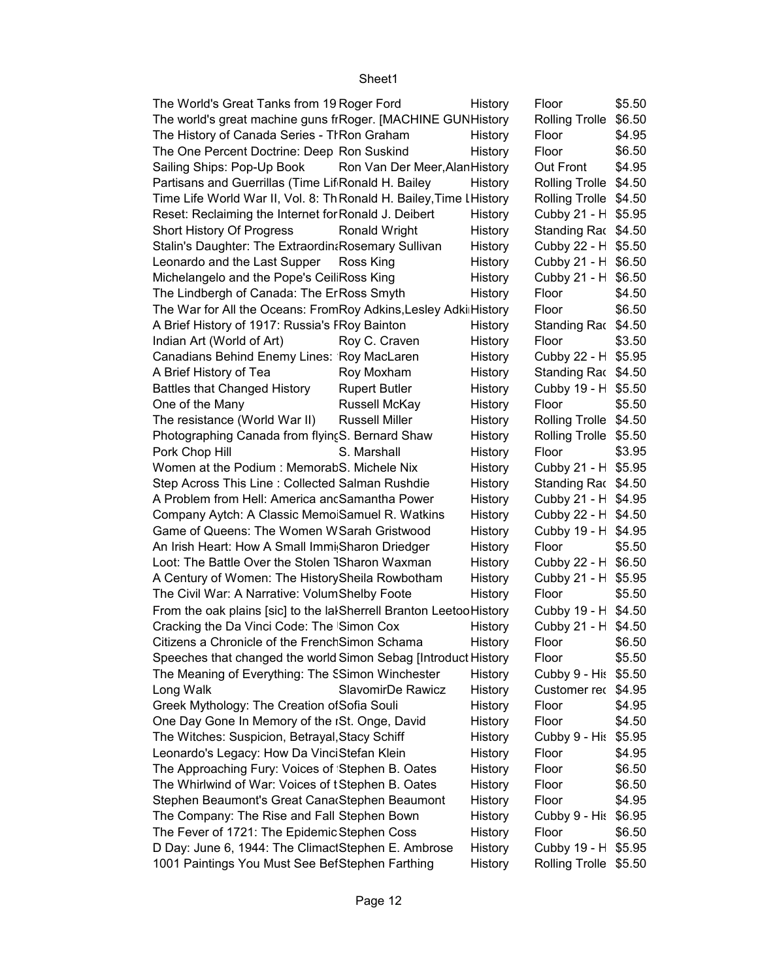| The World's Great Tanks from 19 Roger Ford                          |                                | History | Floor                 | \$5.50 |
|---------------------------------------------------------------------|--------------------------------|---------|-----------------------|--------|
| The world's great machine guns frRoger. [MACHINE GUNHistory         |                                |         | Rolling Trolle \$6.50 |        |
| The History of Canada Series - TIRon Graham                         |                                | History | Floor                 | \$4.95 |
| The One Percent Doctrine: Deep Ron Suskind                          |                                | History | Floor                 | \$6.50 |
| Sailing Ships: Pop-Up Book                                          | Ron Van Der Meer, Alan History |         | Out Front             | \$4.95 |
| Partisans and Guerrillas (Time Lif Ronald H. Bailey                 |                                | History | Rolling Trolle \$4.50 |        |
| Time Life World War II, Vol. 8: Th Ronald H. Bailey, Time L History |                                |         | Rolling Trolle \$4.50 |        |
| Reset: Reclaiming the Internet for Ronald J. Deibert                |                                | History | Cubby 21 - H \$5.95   |        |
| Short History Of Progress                                           | Ronald Wright                  | History | Standing Rac \$4.50   |        |
| Stalin's Daughter: The Extraordin&Rosemary Sullivan                 |                                | History | Cubby 22 - H \$5.50   |        |
| Leonardo and the Last Supper                                        | Ross King                      | History | Cubby 21 - H \$6.50   |        |
| Michelangelo and the Pope's CeiliRoss King                          |                                | History | Cubby 21 - H \$6.50   |        |
| The Lindbergh of Canada: The ErRoss Smyth                           |                                | History | Floor                 | \$4.50 |
| The War for All the Oceans: FromRoy Adkins, Lesley Adki History     |                                |         | Floor                 | \$6.50 |
| A Brief History of 1917: Russia's FRoy Bainton                      |                                | History | Standing Rac \$4.50   |        |
| Indian Art (World of Art)                                           | Roy C. Craven                  | History | Floor                 | \$3.50 |
| Canadians Behind Enemy Lines: Roy MacLaren                          |                                | History | Cubby 22 - H \$5.95   |        |
| A Brief History of Tea                                              | Roy Moxham                     | History | Standing Rac \$4.50   |        |
| <b>Battles that Changed History</b>                                 | <b>Rupert Butler</b>           | History | Cubby 19 - H \$5.50   |        |
| One of the Many                                                     | Russell McKay                  | History | Floor                 | \$5.50 |
| The resistance (World War II)                                       | <b>Russell Miller</b>          |         | Rolling Trolle \$4.50 |        |
|                                                                     |                                | History |                       |        |
| Photographing Canada from flyin(S. Bernard Shaw                     |                                | History | Rolling Trolle \$5.50 |        |
| Pork Chop Hill                                                      | S. Marshall                    | History | Floor                 | \$3.95 |
| Women at the Podium: MemorabS. Michele Nix                          |                                | History | Cubby 21 - H \$5.95   |        |
| Step Across This Line: Collected Salman Rushdie                     |                                | History | Standing Rac \$4.50   |        |
| A Problem from Hell: America ancSamantha Power                      |                                | History | Cubby 21 - H \$4.95   |        |
| Company Aytch: A Classic Memo Samuel R. Watkins                     |                                | History | Cubby 22 - H \$4.50   |        |
| Game of Queens: The Women WSarah Gristwood                          |                                | History | Cubby 19 - H \$4.95   |        |
| An Irish Heart: How A Small Immi Sharon Driedger                    |                                | History | Floor                 | \$5.50 |
| Loot: The Battle Over the Stolen 1Sharon Waxman                     |                                | History | Cubby 22 - H \$6.50   |        |
| A Century of Women: The History Sheila Rowbotham                    |                                | History | Cubby 21 - H \$5.95   |        |
| The Civil War: A Narrative: VolumShelby Foote                       |                                | History | Floor                 | \$5.50 |
| From the oak plains [sic] to the lalSherrell Branton LeetooHistory  |                                |         | Cubby 19 - H \$4.50   |        |
| Cracking the Da Vinci Code: The Simon Cox                           |                                | History | Cubby 21 - H \$4.50   |        |
| Citizens a Chronicle of the French Simon Schama                     |                                | History | Floor                 | \$6.50 |
| Speeches that changed the world Simon Sebag [Introduct History      |                                |         | Floor                 | \$5.50 |
| The Meaning of Everything: The SSimon Winchester                    |                                | History | Cubby 9 - His \$5.50  |        |
| Long Walk                                                           | SlavomirDe Rawicz              | History | Customer rec \$4.95   |        |
| Greek Mythology: The Creation of Sofia Souli                        |                                | History | Floor                 | \$4.95 |
| One Day Gone In Memory of the ISt. Onge, David                      |                                | History | Floor                 | \$4.50 |
| The Witches: Suspicion, Betrayal, Stacy Schiff                      |                                | History | Cubby 9 - His \$5.95  |        |
| Leonardo's Legacy: How Da VinciStefan Klein                         |                                | History | Floor                 | \$4.95 |
| The Approaching Fury: Voices of Stephen B. Oates                    |                                | History | Floor                 | \$6.50 |
| The Whirlwind of War: Voices of tStephen B. Oates                   |                                | History | Floor                 | \$6.50 |
| Stephen Beaumont's Great Cana Stephen Beaumont                      |                                | History | Floor                 | \$4.95 |
| The Company: The Rise and Fall Stephen Bown                         |                                | History | Cubby 9 - His \$6.95  |        |
| The Fever of 1721: The Epidemic Stephen Coss                        |                                | History | Floor                 | \$6.50 |
| D Day: June 6, 1944: The ClimactStephen E. Ambrose                  |                                | History | Cubby 19 - H \$5.95   |        |
| 1001 Paintings You Must See BefStephen Farthing                     |                                | History | Rolling Trolle \$5.50 |        |
|                                                                     |                                |         |                       |        |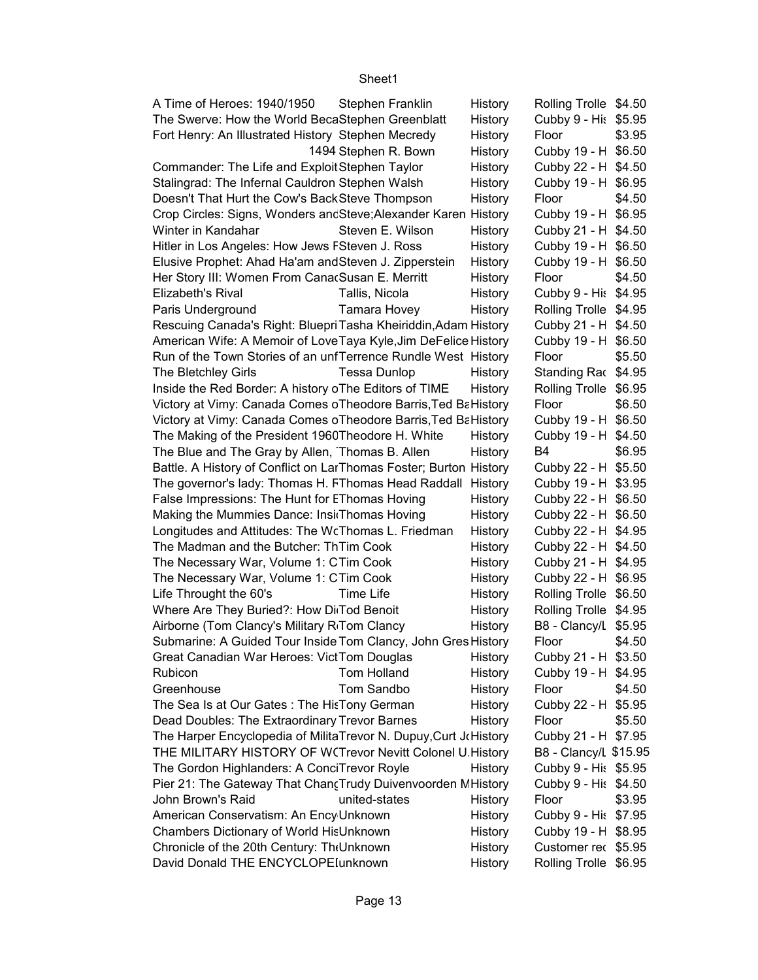| A Time of Heroes: 1940/1950<br><b>Stephen Franklin</b>            | History | Rolling Trolle \$4.50 |        |
|-------------------------------------------------------------------|---------|-----------------------|--------|
| The Swerve: How the World BecaStephen Greenblatt                  | History | Cubby 9 - His \$5.95  |        |
| Fort Henry: An Illustrated History Stephen Mecredy                | History | Floor                 | \$3.95 |
| 1494 Stephen R. Bown                                              | History | Cubby 19 - H \$6.50   |        |
| Commander: The Life and ExploitStephen Taylor                     | History | Cubby 22 - H \$4.50   |        |
| Stalingrad: The Infernal Cauldron Stephen Walsh                   | History | Cubby 19 - H \$6.95   |        |
| Doesn't That Hurt the Cow's Back Steve Thompson                   | History | Floor                 | \$4.50 |
| Crop Circles: Signs, Wonders ancSteve; Alexander Karen History    |         | Cubby 19 - H \$6.95   |        |
| Winter in Kandahar<br>Steven E. Wilson                            | History | Cubby 21 - H \$4.50   |        |
| Hitler in Los Angeles: How Jews FSteven J. Ross                   | History | Cubby 19 - H \$6.50   |        |
| Elusive Prophet: Ahad Ha'am and Steven J. Zipperstein             | History | Cubby 19 - H \$6.50   |        |
| Her Story III: Women From Cana Susan E. Merritt                   | History | Floor                 | \$4.50 |
| Elizabeth's Rival<br>Tallis, Nicola                               | History | Cubby 9 - His \$4.95  |        |
| Tamara Hovey<br>Paris Underground                                 | History | Rolling Trolle \$4.95 |        |
| Rescuing Canada's Right: Bluepri Tasha Kheiriddin, Adam History   |         | Cubby 21 - H \$4.50   |        |
| American Wife: A Memoir of Love Taya Kyle, Jim DeFelice History   |         | Cubby 19 - H \$6.50   |        |
| Run of the Town Stories of an unfTerrence Rundle West History     |         | Floor                 | \$5.50 |
| <b>Tessa Dunlop</b><br>The Bletchley Girls                        | History | Standing Rac \$4.95   |        |
| Inside the Red Border: A history oThe Editors of TIME             | History | Rolling Trolle \$6.95 |        |
| Victory at Vimy: Canada Comes oTheodore Barris, Ted BaHistory     |         | Floor                 | \$6.50 |
| Victory at Vimy: Canada Comes oTheodore Barris, Ted BaHistory     |         | Cubby 19 - H \$6.50   |        |
| The Making of the President 1960Theodore H. White                 | History | Cubby 19 - H \$4.50   |        |
| The Blue and The Gray by Allen, Thomas B. Allen                   | History | B4                    | \$6.95 |
| Battle. A History of Conflict on LarThomas Foster; Burton History |         | Cubby 22 - H \$5.50   |        |
| The governor's lady: Thomas H. FThomas Head Raddall               | History | Cubby 19 - H \$3.95   |        |
| False Impressions: The Hunt for EThomas Hoving                    | History | Cubby 22 - H \$6.50   |        |
| Making the Mummies Dance: Insi Thomas Hoving                      | History | Cubby 22 - H \$6.50   |        |
| Longitudes and Attitudes: The WcThomas L. Friedman                | History | Cubby 22 - H \$4.95   |        |
| The Madman and the Butcher: ThTim Cook                            | History | Cubby 22 - H \$4.50   |        |
| The Necessary War, Volume 1: CTim Cook                            | History | Cubby 21 - H \$4.95   |        |
| The Necessary War, Volume 1: CTim Cook                            | History | Cubby 22 - H \$6.95   |        |
| Life Throught the 60's<br>Time Life                               | History | Rolling Trolle \$6.50 |        |
| Where Are They Buried?: How Di Tod Benoit                         | History | Rolling Trolle \$4.95 |        |
| Airborne (Tom Clancy's Military R <sub>I</sub> Tom Clancy         | History | B8 - Clancy/L \$5.95  |        |
| Submarine: A Guided Tour Inside Tom Clancy, John Gres History     |         | Floor                 | \$4.50 |
| Great Canadian War Heroes: VictTom Douglas                        | History | Cubby 21 - H \$3.50   |        |
| Tom Holland<br>Rubicon                                            | History | Cubby 19 - H \$4.95   |        |
| Tom Sandbo<br>Greenhouse                                          | History | Floor                 | \$4.50 |
| The Sea Is at Our Gates: The HisTony German                       | History | Cubby 22 - H \$5.95   |        |
| Dead Doubles: The Extraordinary Trevor Barnes                     | History | Floor                 | \$5.50 |
| The Harper Encyclopedia of MilitaTrevor N. Dupuy, Curt JoHistory  |         | Cubby 21 - H \$7.95   |        |
| THE MILITARY HISTORY OF W(Trevor Nevitt Colonel U History         |         | B8 - Clancy/L \$15.95 |        |
| The Gordon Highlanders: A ConciTrevor Royle                       | History | Cubby 9 - His \$5.95  |        |
| Pier 21: The Gateway That Chan Trudy Duivenvoorden MHistory       |         | Cubby 9 - His \$4.50  |        |
| John Brown's Raid<br>united-states                                | History | Floor                 | \$3.95 |
| American Conservatism: An Ency Unknown                            | History | Cubby 9 - His \$7.95  |        |
| Chambers Dictionary of World HisUnknown                           | History | Cubby 19 - H \$8.95   |        |
| Chronicle of the 20th Century: The Unknown                        | History | Customer rec \$5.95   |        |
| David Donald THE ENCYCLOPEIunknown                                | History | Rolling Trolle \$6.95 |        |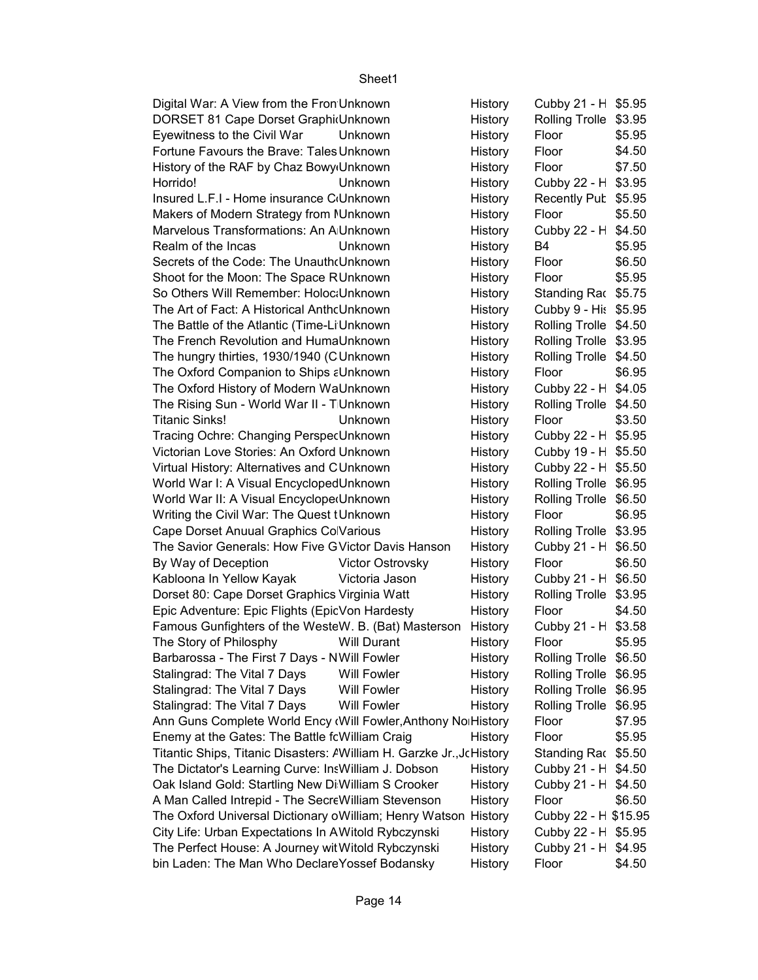Cubby 21 - H \$5.95 Rolling Trolle \$3.95 \$5.95 \$4.50 \$7.50 \$3.95 Horrido! Unknown History Cubby 22 - History Recently Pub \$5.95 \$5.50 Cubby 22 - H \$4.50 B4 \$5.95 \$6.50 \$5.95 Standing Rac \$5.75 Cubby 9 - His \$5.95 Rolling Trolle \$4.50 Rolling Trolle \$3.95 Rolling Trolle \$4.50 \$6.95 Cubby 22 - H \$4.05 Rolling Trolle \$4.50 \$3.50 Cubby 22 - H \$5.95 Cubby 19 - H \$5.50 Cubby 22 - H \$5.50 Rolling Trolle \$6.95 Rolling Trolle \$6.50 \$6.95 Rolling Trolle \$3.95  $Cubby 21 - H$  \$6.50 \$6.50 Cubby 21 - H \$6.50 Rolling Trolle \$3.95 \$4.50 Cubby 21 -  $H$  \$3.58 \$5.95 Rolling Trolle \$6.50 Rolling Trolle \$6.95 Rolling Trolle \$6.95 Rolling Trolle \$6.95 \$7.95 \$5.95 Standing Rac \$5.50 Cubby 21 - H \$4.50  $Cubby 21 - H$  \$4.50 \$6.50 Cubby 22 - H \$15.95 Cubby 22 - H \$5.95 Cubby 21 - H \$4.95 \$4.50 Digital War: A View from the Fron Unknown History DORSET 81 Cape Dorset Graphic Unknown History Eyewitness to the Civil War Unknown History Floor Fortune Favours the Brave: Tales Unknown **Francisc And Tenacity Floor** Floor History of the RAF by Chaz Bowy Unknown History Floor Insured L.F.I - Home insurance C<sub>'</sub>Unknown History Makers of Modern Strategy from NUnknown **Exam Age History** Floor Marvelous Transformations: An A Unknown Fairy Tales and Contemporary Critical Perspectives Units Units Units U Realm of the Incas **Unknown** History Secrets of the Code: The Unauthoun The Mysteries Behind the Mysteries Behind The Oriental The Dan Vinci Code t Shoot for the Moon: The Space RUnknown History Floor So Others Will Remember: Holoc: Unknown History The Art of Fact: A Historical AnthoUnknown History The Battle of the Atlantic (Time-Li Unknown History Rolling Markown The French Revolution and HumaUnknown **History** History The hungry thirties, 1930/1940 (CUnknown History illustrated heritage) History The Oxford Companion to Ships a Unknown History Floor The Oxford History of Modern WaUnknown History The Rising Sun - World War II - TUnknown History Titanic Sinks! Titanic Sinks! Unknown History Floor Tracing Ochre: Changing PerspecUnknown History Victorian Love Stories: An Oxford Unknown History Virtual History: Alternatives and CUnknown History History World War I: A Visual EncyclopedUnknown History World War II: A Visual Encyclope Unknown History Writing the Civil War: The Quest tUnknown Thistory Floor Cape Dorset Anuual Graphics Co Various **Francisco History** History The Savior Generals: How Five GVictor Davis Hanson - History By Way of Deception Victor Ostrovsky History Floor Kabloona In Yellow Kayak Victoria Jason History Dorset 80: Cape Dorset Graphics Virginia Watt History Epic Adventure: Epic Flights (Epic Von Hardesty History Floor Famous Gunfighters of the WesteW. B. (Bat) Masterson History The Story of Philosphy **Will Durant** History Floor Barbarossa - The First 7 Days - NWill Fowler **Instrument History** . Stalingrad: The Vital 7 Days Will Fowler History Stalingrad: The Vital 7 Days Will Fowler History Stalingrad: The Vital 7 Days Will Fowler History Ann Guns Complete World Ency (Will Fowler, Anthony Northistory Floor Enemy at the Gates: The Battle fowilliam Craig Thistory Floor Titantic Ships, Titanic Disasters: AWilliam H. Garzke Jr.,JcHistory The Dictator's Learning Curve: InsWilliam J. Dobson History Oak Island Gold: Startling New Di William S Crooker History A Man Called Intrepid - The Secre William Stevenson History Floor The Oxford Universal Dictionary oWilliam; Henry Watson History City Life: Urban Expectations In A Witold Rybczynski History The Perfect House: A Journey wit Witold Rybczynski History bin Laden: The Man Who Declare Yossef Bodansky History Floor